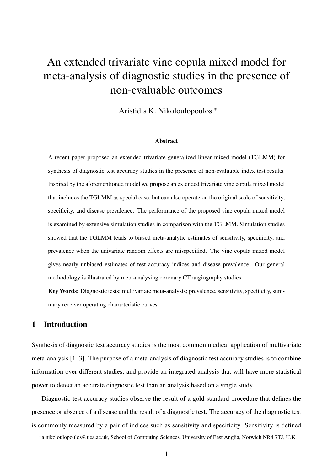# <span id="page-0-0"></span>An extended trivariate vine copula mixed model for meta-analysis of diagnostic studies in the presence of non-evaluable outcomes

Aristidis K. Nikoloulopoulos <sup>∗</sup>

#### Abstract

A recent paper proposed an extended trivariate generalized linear mixed model (TGLMM) for synthesis of diagnostic test accuracy studies in the presence of non-evaluable index test results. Inspired by the aforementioned model we propose an extended trivariate vine copula mixed model that includes the TGLMM as special case, but can also operate on the original scale of sensitivity, specificity, and disease prevalence. The performance of the proposed vine copula mixed model is examined by extensive simulation studies in comparison with the TGLMM. Simulation studies showed that the TGLMM leads to biased meta-analytic estimates of sensitivity, specificity, and prevalence when the univariate random effects are misspecified. The vine copula mixed model gives nearly unbiased estimates of test accuracy indices and disease prevalence. Our general methodology is illustrated by meta-analysing coronary CT angiography studies.

Key Words: Diagnostic tests; multivariate meta-analysis; prevalence, sensitivity, specificity, summary receiver operating characteristic curves.

# 1 Introduction

Synthesis of diagnostic test accuracy studies is the most common medical application of multivariate meta-analysis [\[1](#page-17-0)[–3\]](#page-17-1). The purpose of a meta-analysis of diagnostic test accuracy studies is to combine information over different studies, and provide an integrated analysis that will have more statistical power to detect an accurate diagnostic test than an analysis based on a single study.

Diagnostic test accuracy studies observe the result of a gold standard procedure that defines the presence or absence of a disease and the result of a diagnostic test. The accuracy of the diagnostic test is commonly measured by a pair of indices such as sensitivity and specificity. Sensitivity is defined

<sup>∗</sup> [a.nikoloulopoulos@uea.ac.uk,](mailto:a.nikoloulopoulos@uea.ac.uk) School of Computing Sciences, University of East Anglia, Norwich NR4 7TJ, U.K.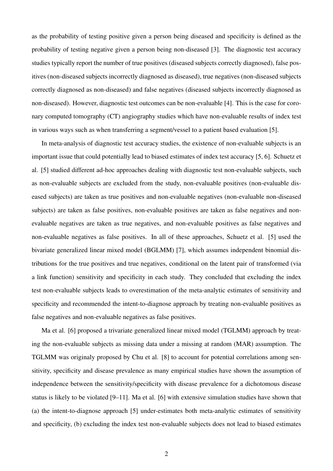as the probability of testing positive given a person being diseased and specificity is defined as the probability of testing negative given a person being non-diseased [\[3\]](#page-17-1). The diagnostic test accuracy studies typically report the number of true positives (diseased subjects correctly diagnosed), false positives (non-diseased subjects incorrectly diagnosed as diseased), true negatives (non-diseased subjects correctly diagnosed as non-diseased) and false negatives (diseased subjects incorrectly diagnosed as non-diseased). However, diagnostic test outcomes can be non-evaluable [\[4\]](#page-17-2). This is the case for coronary computed tomography (CT) angiography studies which have non-evaluable results of index test in various ways such as when transferring a segment/vessel to a patient based evaluation [\[5\]](#page-18-0).

In meta-analysis of diagnostic test accuracy studies, the existence of non-evaluable subjects is an important issue that could potentially lead to biased estimates of index test accuracy [\[5,](#page-18-0) [6\]](#page-18-1). Schuetz et al. [\[5\]](#page-18-0) studied different ad-hoc approaches dealing with diagnostic test non-evaluable subjects, such as non-evaluable subjects are excluded from the study, non-evaluable positives (non-evaluable diseased subjects) are taken as true positives and non-evaluable negatives (non-evaluable non-diseased subjects) are taken as false positives, non-evaluable positives are taken as false negatives and nonevaluable negatives are taken as true negatives, and non-evaluable positives as false negatives and non-evaluable negatives as false positives. In all of these approaches, Schuetz et al. [\[5\]](#page-18-0) used the bivariate generalized linear mixed model (BGLMM) [\[7\]](#page-18-2), which assumes independent binomial distributions for the true positives and true negatives, conditional on the latent pair of transformed (via a link function) sensitivity and specificity in each study. They concluded that excluding the index test non-evaluable subjects leads to overestimation of the meta-analytic estimates of sensitivity and specificity and recommended the intent-to-diagnose approach by treating non-evaluable positives as false negatives and non-evaluable negatives as false positives.

Ma et al. [\[6\]](#page-18-1) proposed a trivariate generalized linear mixed model (TGLMM) approach by treating the non-evaluable subjects as missing data under a missing at random (MAR) assumption. The TGLMM was originaly proposed by Chu et al. [\[8\]](#page-18-3) to account for potential correlations among sensitivity, specificity and disease prevalence as many empirical studies have shown the assumption of independence between the sensitivity/specificity with disease prevalence for a dichotomous disease status is likely to be violated [\[9–](#page-18-4)[11\]](#page-18-5). Ma et al. [\[6\]](#page-18-1) with extensive simulation studies have shown that (a) the intent-to-diagnose approach [\[5\]](#page-18-0) under-estimates both meta-analytic estimates of sensitivity and specificity, (b) excluding the index test non-evaluable subjects does not lead to biased estimates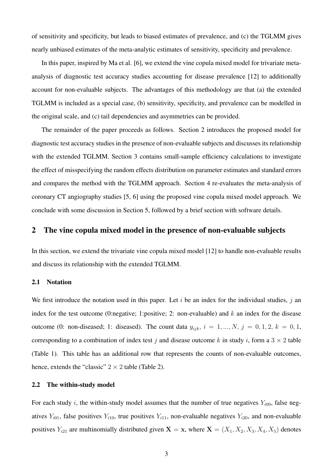of sensitivity and specificity, but leads to biased estimates of prevalence, and (c) the TGLMM gives nearly unbiased estimates of the meta-analytic estimates of sensitivity, specificity and prevalence.

In this paper, inspired by Ma et al. [\[6\]](#page-18-1), we extend the vine copula mixed model for trivariate metaanalysis of diagnostic test accuracy studies accounting for disease prevalence [\[12\]](#page-18-6) to additionally account for non-evaluable subjects. The advantages of this methodology are that (a) the extended TGLMM is included as a special case, (b) sensitivity, specificity, and prevalence can be modelled in the original scale, and (c) tail dependencies and asymmetries can be provided.

The remainder of the paper proceeds as follows. Section 2 introduces the proposed model for diagnostic test accuracy studies in the presence of non-evaluable subjects and discusses its relationship with the extended TGLMM. Section 3 contains small-sample efficiency calculations to investigate the effect of misspecifying the random effects distribution on parameter estimates and standard errors and compares the method with the TGLMM approach. Section 4 re-evaluates the meta-analysis of coronary CT angiography studies [\[5,](#page-18-0) [6\]](#page-18-1) using the proposed vine copula mixed model approach. We conclude with some discussion in Section 5, followed by a brief section with software details.

## 2 The vine copula mixed model in the presence of non-evaluable subjects

In this section, we extend the trivariate vine copula mixed model [\[12\]](#page-18-6) to handle non-evaluable results and discuss its relationship with the extended TGLMM.

#### 2.1 Notation

We first introduce the notation used in this paper. Let  $i$  be an index for the individual studies,  $j$  an index for the test outcome (0:negative; 1:positive; 2: non-evaluable) and  $k$  an index for the disease outcome (0: non-diseased; 1: diseased). The count data  $y_{ijk}$ ,  $i = 1, ..., N$ ,  $j = 0, 1, 2$ ,  $k = 0, 1$ , corresponding to a combination of index test j and disease outcome k in study i, form a  $3 \times 2$  table (Table [1\)](#page-3-0). This table has an additional row that represents the counts of non-evaluable outcomes, hence, extends the "classic"  $2 \times 2$  table (Table [2\)](#page-3-1).

#### 2.2 The within-study model

For each study i, the within-study model assumes that the number of true negatives  $Y_{i00}$ , false negatives  $Y_{i01}$ , false positives  $Y_{i10}$ , true positives  $Y_{i11}$ , non-evaluable negatives  $Y_{i20}$ , and non-evaluable positives  $Y_{i21}$  are multinomially distributed given  $X = x$ , where  $X = (X_1, X_2, X_3, X_4, X_5)$  denotes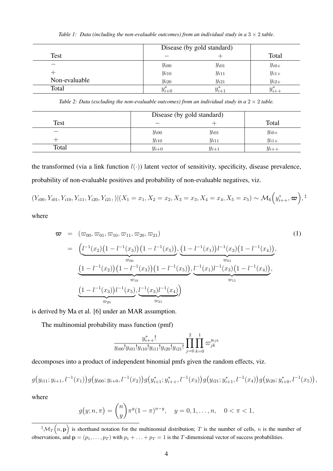*Table 1: Data (including the non-evaluable outcomes) from an individual study in a*  $3 \times 2$  *table.* 

<span id="page-3-0"></span>

|               |             | Disease (by gold standard) |           |  |  |  |  |
|---------------|-------------|----------------------------|-----------|--|--|--|--|
| <b>Test</b>   |             |                            | Total     |  |  |  |  |
|               | $y_{i00}$   | $y_{i01}$                  | $y_{i0+}$ |  |  |  |  |
|               | $y_{i10}$   | $y_{i11}$                  | $y_{i1+}$ |  |  |  |  |
| Non-evaluable | $y_{i20}$   | $y_{i21}$                  | $y_{i2+}$ |  |  |  |  |
| Total         | $y^*_{i+0}$ | $y^*_{i+1}$                |           |  |  |  |  |

*Table 2: Data (excluding the non-evaluable outcomes) from an individual study in a*  $2 \times 2$  *table.* 

<span id="page-3-1"></span>

|       | Disease (by gold standard) |           |           |
|-------|----------------------------|-----------|-----------|
| Test  |                            |           | Total     |
|       | $y_{i00}$                  | $y_{i01}$ | $y_{i0+}$ |
|       | $y_{i10}$                  | $y_{i11}$ | $y_{i1+}$ |
| Total | $y_{i+0}$                  | $y_{i+1}$ | $y_{i++}$ |

the transformed (via a link function  $l(\cdot)$ ) latent vector of sensitivity, specificity, disease prevalence, probability of non-evaluable positives and probability of non-evaluable negatives, viz.

 $(Y_{i00}, Y_{i01}, Y_{i10}, Y_{i11}, Y_{i20}, Y_{i21},)| (X_1 = x_1, X_2 = x_2, X_3 = x_3, X_4 = x_4, X_5 = x_5) \sim \mathcal{M}_6\Big(y_{i++}^*, \boldsymbol{\varpi}\Big), \mathcal{F}_8\Big(z_{i++}^*, \boldsymbol{\varpi}\Big),$ 

where

<span id="page-3-2"></span>
$$
\boldsymbol{\varpi} = (\varpi_{00}, \varpi_{01}, \varpi_{10}, \varpi_{11}, \varpi_{20}, \varpi_{21})
$$
\n
$$
= \left( \underbrace{l^{-1}(x_2) \left(1 - l^{-1}(x_3)\right) \left(1 - l^{-1}(x_5)\right)}_{\varpi_{00}}, \underbrace{\left(1 - l^{-1}(x_1)\right) \left(1 - l^{-1}(x_4)\right)}_{\varpi_{01}}, \underbrace{\left(1 - l^{-1}(x_2)\right) \left(1 - l^{-1}(x_3)\right) \left(1 - l^{-1}(x_5)\right)}_{\varpi_{10}}, \underbrace{l^{-1}(x_1) \left(1 - l^{-1}(x_3)\right) \left(1 - l^{-1}(x_4)\right)}_{\varpi_{11}},
$$
\n
$$
\underbrace{\left(1 - l^{-1}(x_3)\right) l^{-1}(x_5)}_{\varpi_{20}}, \underbrace{l^{-1}(x_3) \left(1 - (x_4)\right)}_{\varpi_{21}} \right)
$$
\n
$$
(1)
$$
\n
$$
(2)
$$
\n
$$
(3)
$$

is derived by Ma et al. [\[6\]](#page-18-1) under an MAR assumption.

The multinomial probability mass function (pmf)

$$
\frac{y_{i++}^*!}{y_{i00}!y_{i01}!y_{i10}!y_{i11}!y_{i20}!y_{i21}!} \prod_{j=0}^2 \prod_{k=0}^1 \varpi_{jk}^{y_{ijk}}
$$

decomposes into a product of independent binomial pmfs given the random effects, viz.

$$
g(y_{i11}; y_{i+1}, l^{-1}(x_1))g(y_{i00}; y_{i+0}, l^{-1}(x_2))g(y_{i+1}; y_{i+1}^*, l^{-1}(x_3))g(y_{i21}; y_{i+1}^*, l^{-1}(x_4))g(y_{i20}; y_{i+0}^*, l^{-1}(x_5)),
$$

where

$$
g(y; n, \pi) = {n \choose y} \pi^y (1 - \pi)^{n - y}, \quad y = 0, 1, \dots, n, \quad 0 < \pi < 1,
$$

 ${}^{\ddagger}M_T(n, \mathbf{p})$  is shorthand notation for the multinomial distribution; T is the number of cells, n is the number of observations, and  $\mathbf{p} = (p_1, \ldots, p_T)$  with  $p_1 + \ldots + p_T = 1$  is the T-dimensional vector of success probabilities.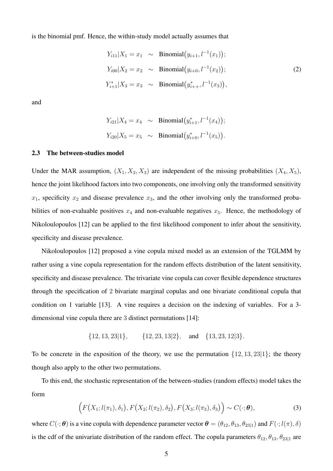is the binomial pmf. Hence, the within-study model actually assumes that

<span id="page-4-0"></span>
$$
Y_{i11}|X_1 = x_1 \sim \text{Binomial}(y_{i+1}, l^{-1}(x_1));
$$
  
\n
$$
Y_{i00}|X_2 = x_2 \sim \text{Binomial}(y_{i+0}, l^{-1}(x_2));
$$
  
\n
$$
Y_{i+1}^*|X_3 = x_3 \sim \text{Binomial}(y_{i+1}^*, l^{-1}(x_3)),
$$
\n(2)

and

$$
Y_{i21}|X_4 = x_4 \sim Binomial(y_{i+1}^*, l^{-1}(x_4));
$$
  
\n
$$
Y_{i20}|X_5 = x_5 \sim Binomial(y_{i+0}^*, l^{-1}(x_5)).
$$

#### 2.3 The between-studies model

Under the MAR assumption,  $(X_1, X_2, X_3)$  are independent of the missing probabilities  $(X_4, X_5)$ , hence the joint likelihood factors into two components, one involving only the transformed sensitivity  $x_1$ , specificity  $x_2$  and disease prevalence  $x_3$ , and the other involving only the transformed probabilities of non-evaluable positives  $x_4$  and non-evaluable negatives  $x_5$ . Hence, the methodology of Nikoloulopoulos [\[12\]](#page-18-6) can be applied to the first likelihood component to infer about the sensitivity, specificity and disease prevalence.

Nikoloulopoulos [\[12\]](#page-18-6) proposed a vine copula mixed model as an extension of the TGLMM by rather using a vine copula representation for the random effects distribution of the latent sensitivity, specificity and disease prevalence. The trivariate vine copula can cover flexible dependence structures through the specification of 2 bivariate marginal copulas and one bivariate conditional copula that condition on 1 variable [\[13\]](#page-18-7). A vine requires a decision on the indexing of variables. For a 3 dimensional vine copula there are 3 distinct permutations [\[14\]](#page-18-8):

$$
\{12, 13, 23|1\}, \{12, 23, 13|2\}, \text{ and } \{13, 23, 12|3\}.
$$

To be concrete in the exposition of the theory, we use the permutation  $\{12, 13, 23|1\}$ ; the theory though also apply to the other two permutations.

To this end, the stochastic representation of the between-studies (random effects) model takes the form

<span id="page-4-1"></span>
$$
\left(F\big(X_1; l(\pi_1), \delta_1\big), F\big(X_2; l(\pi_2), \delta_2\big), F\big(X_3; l(\pi_3), \delta_3\big)\right) \sim C(\cdot; \boldsymbol{\theta}),\tag{3}
$$

where  $C(\cdot;\boldsymbol{\theta})$  is a vine copula with dependence parameter vector  $\boldsymbol{\theta} = (\theta_{12}, \theta_{13}, \theta_{23|1})$  and  $F(\cdot; l(\pi), \delta)$ is the cdf of the univariate distribution of the random effect. The copula parameters  $\theta_{12}, \theta_{13}, \theta_{23|1}$  are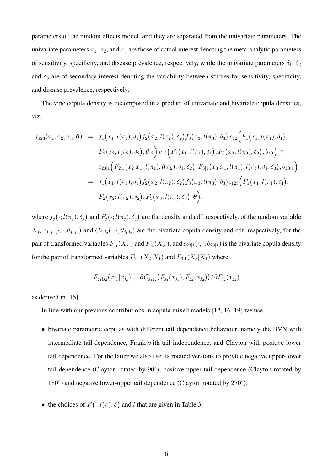parameters of the random effects model, and they are separated from the univariate parameters. The univariate parameters  $\pi_1$ ,  $\pi_2$ , and  $\pi_3$  are those of actual interest denoting the meta-analytic parameters of sensitivity, specificity, and disease prevalence, respectively, while the univariate parameters  $\delta_1$ ,  $\delta_2$ and  $\delta_3$  are of secondary interest denoting the variability between-studies for sensitivity, specificity, and disease prevalence, respectively.

The vine copula density is decomposed in a product of univariate and bivariate copula densities, viz.

$$
f_{123}(x_1, x_2, x_3; \boldsymbol{\theta}) = f_1(x_1; l(\pi_1), \delta_1) f_2(x_2; l(\pi_2), \delta_2) f_3(x_3; l(\pi_3), \delta_3) c_{12} (F_1(x_1; l(\pi_1), \delta_1),\nF_2(x_2; l(\pi_2), \delta_2); \theta_{12}) c_{13} (F_1(x_1; l(\pi_1), \delta_1), F_3(x_3; l(\pi_3), \delta_3); \theta_{13}) \times\nc_{23|1} (F_{2|1}(x_2|x_1; l(\pi_1), l(\pi_2), \delta_1, \delta_2), F_{3|1}(x_3|x_1; l(\pi_1), l(\pi_3), \delta_1, \delta_3); \theta_{23|1})\n= f_1(x_1; l(\pi_1), \delta_1) f_2(x_2; l(\pi_2), \delta_2) f_3(x_3; l(\pi_3), \delta_3) c_{123} (F_1(x_1; l(\pi_1), \delta_1),\nF_2(x_2; l(\pi_2), \delta_2), F_3(x_3; l(\pi_3), \delta_3); \boldsymbol{\theta}),
$$

where  $f_j(\cdot; l(\pi_j), \delta_j)$  and  $F_j(\cdot; l(\pi_j), \delta_j)$  are the density and cdf, respectively, of the random variable  $X_j$ ,  $c_{j_1j_2}(\cdot,\cdot;\theta_{j_1j_2})$  and  $C_{j_1j_2}(\cdot,\cdot;\theta_{j_1j_2})$  are the bivariate copula density and cdf, respectively, for the pair of transformed variables  $F_{j_1}(X_{j_1})$  and  $F_{j_2}(X_{j_2})$ , and  $c_{23|1}(\cdot,\cdot;\theta_{23|1})$  is the bivariate copula density for the pair of transformed variables  $F_{2|1}(X_2|X_1)$  and  $F_{3|1}(X_3|X_1)$  where

$$
F_{j_1|j_2}(x_{j_1}|x_{j_2}) = \partial C_{j_1j_2}(F_{j_1}(x_{j_1}), F_{j_2}(x_{j_2})) / \partial F_{j_2}(x_{j_2})
$$

as derived in [\[15\]](#page-18-9).

In line with our previous contributions in copula mixed models [\[12,](#page-18-6) [16](#page-19-0)[–19\]](#page-19-1) we use

- bivariate parametric copulas with different tail dependence behaviour, namely the BVN with intermediate tail dependence, Frank with tail independence, and Clayton with positive lower tail dependence. For the latter we also use its rotated versions to provide negative upper-lower tail dependence (Clayton rotated by 90°), positive upper tail dependence (Clayton rotated by 180°) and negative lower-upper tail dependence (Clayton rotated by 270°);
- the choices of  $F(\cdot; l(\pi), \delta)$  and l that are given in Table [3.](#page-6-0)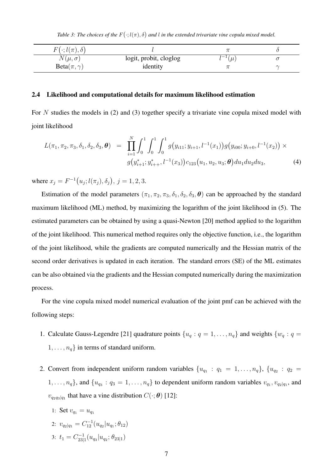*Table 3: The choices of the*  $F(\cdot; l(\pi), \delta)$  and l in the extended trivariate vine copula mixed model.

<span id="page-6-0"></span>

| $F(\cdot; l(\pi), \delta)$ |                        |                 |  |
|----------------------------|------------------------|-----------------|--|
| $N(\mu, \sigma)$           | logit, probit, cloglog | $-1/$<br>$\mu'$ |  |
| $Beta(\pi, \gamma)$        | identity               |                 |  |

#### 2.4 Likelihood and computational details for maximum likelihood estimation

For N studies the models in [\(2\)](#page-4-0) and [\(3\)](#page-4-1) together specify a trivariate vine copula mixed model with joint likelihood

$$
L(\pi_1, \pi_2, \pi_3, \delta_1, \delta_2, \delta_3, \boldsymbol{\theta}) = \prod_{i=1}^N \int_0^1 \int_0^1 \int_0^1 g(y_{i11}; y_{i+1}, l^{-1}(x_1)) g(y_{i00}; y_{i+0}, l^{-1}(x_2)) \times g(y_{i+1}^*; y_{i+1}^*, l^{-1}(x_3)) c_{123}(u_1, u_2, u_3; \boldsymbol{\theta}) du_1 du_2 du_3,
$$
\n(4)

where  $x_j = F^{-1}(u_j; l(\pi_j), \delta_j)$ ,  $j = 1, 2, 3$ .

Estimation of the model parameters  $(\pi_1, \pi_2, \pi_3, \delta_1, \delta_2, \delta_3, \theta)$  can be approached by the standard maximum likelihood (ML) method, by maximizing the logarithm of the joint likelihood in (5). The estimated parameters can be obtained by using a quasi-Newton [\[20\]](#page-19-2) method applied to the logarithm of the joint likelihood. This numerical method requires only the objective function, i.e., the logarithm of the joint likelihood, while the gradients are computed numerically and the Hessian matrix of the second order derivatives is updated in each iteration. The standard errors (SE) of the ML estimates can be also obtained via the gradients and the Hessian computed numerically during the maximization process.

For the vine copula mixed model numerical evaluation of the joint pmf can be achieved with the following steps:

- 1. Calculate Gauss-Legendre [\[21\]](#page-19-3) quadrature points  $\{u_q : q = 1, \ldots, n_q\}$  and weights  $\{w_q : q = 1, \ldots, w_q\}$  $1, \ldots, n_q$  in terms of standard uniform.
- 2. Convert from independent uniform random variables  $\{u_{q_1} : q_1 = 1, \ldots, n_q\}, \{u_{q_2} : q_2 =$  $1, \ldots, n_q$ , and  $\{u_{q_3} : q_3 = 1, \ldots, n_q\}$  to dependent uniform random variables  $v_{q_1}, v_{q_2|q_1}$ , and  $v_{q_2q_3|q_1}$  that have a vine distribution  $C(\cdot;\boldsymbol{\theta})$  [\[12\]](#page-18-6):
	- 1: Set  $v_{q_1} = u_{q_1}$
	- 2:  $v_{q_2|q_1} = C_{12}^{-1}(u_{q_2}|u_{q_1}; \theta_{12})$
	- 3:  $t_1 = C_{23}^{-1}$  $\frac{d-1}{23|1}(u_{q_3}|u_{q_2};\theta_{23|1})$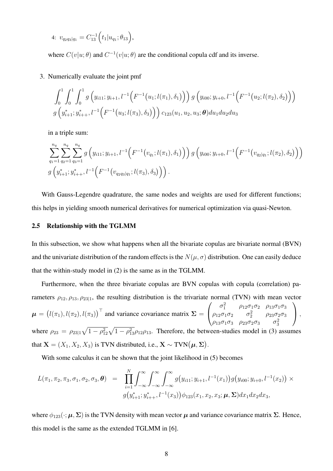4: 
$$
v_{q_2q_3|q_1} = C_{13}^{-1} (t_1|u_{q_1}; \theta_{13}),
$$

where  $C(v|u; \theta)$  and  $C^{-1}(v|u; \theta)$  are the conditional copula cdf and its inverse.

#### 3. Numerically evaluate the joint pmf

$$
\int_0^1 \int_0^1 \int_0^1 g\left(y_{i11}; y_{i+1}, l^{-1}\left(F^{-1}\left(u_1; l(\pi_1), \delta_1\right)\right)\right) g\left(y_{i00}; y_{i+0}, l^{-1}\left(F^{-1}\left(u_2; l(\pi_2), \delta_2\right)\right)\right)
$$
  

$$
g\left(y_{i+1}^*; y_{i+1}^*, l^{-1}\left(F^{-1}\left(u_3; l(\pi_3), \delta_3\right)\right)\right) c_{123}(u_1, u_2, u_3; \boldsymbol{\theta}) du_1 du_2 du_3
$$

in a triple sum:

$$
\sum_{q_1=1}^{n_q} \sum_{q_2=1}^{n_q} \sum_{q_3=1}^{n_q} g\left(y_{i11}; y_{i+1}, l^{-1}\left(F^{-1}\left(v_{q_1}; l(\pi_1), \delta_1\right)\right)\right) g\left(y_{i00}; y_{i+0}, l^{-1}\left(F^{-1}\left(v_{q_2|q_1}; l(\pi_2), \delta_2\right)\right)\right)
$$
  

$$
g\left(y_{i+1}^*; y_{i++}^*, l^{-1}\left(F^{-1}\left(v_{q_2q_3|q_1}; l(\pi_3), \delta_3\right)\right)\right).
$$

With Gauss-Legendre quadrature, the same nodes and weights are used for different functions; this helps in yielding smooth numerical derivatives for numerical optimization via quasi-Newton.

#### <span id="page-7-0"></span>2.5 Relationship with the TGLMM

In this subsection, we show what happens when all the bivariate copulas are bivariate normal (BVN) and the univariate distribution of the random effects is the  $N(\mu, \sigma)$  distribution. One can easily deduce that the within-study model in [\(2\)](#page-4-0) is the same as in the TGLMM.

Furthermore, when the three bivariate copulas are BVN copulas with copula (correlation) parameters  $\rho_{12}, \rho_{13}, \rho_{23|1}$ , the resulting distribution is the trivariate normal (TVN) with mean vector  $\boldsymbol{\mu} = (l(\pi_1), l(\pi_2), l(\pi_3))^{\top}$  and variance covariance matrix  $\boldsymbol{\Sigma} =$  $\sqrt{ }$  $\overline{1}$  $\sigma_1^2$   $\rho_{12}\sigma_1\sigma_2$   $\rho_{13}\sigma_1\sigma_3$  $\rho_{12}\sigma_1\sigma_2 \qquad \sigma_2^2 \qquad \rho_{23}\sigma_2\sigma_3$  $\rho_{13}\sigma_1\sigma_3$   $\rho_{23}\sigma_2\sigma_3$   $\sigma_3^2$  $\setminus$  $\vert$ , where  $\rho_{23} = \rho_{23|1} \sqrt{1 - \rho_{12}^2} \sqrt{1 - \rho_{13}^2} \rho_{12} \rho_{13}$ . Therefore, the between-studies model in [\(3\)](#page-4-1) assumes that  $\mathbf{X} = (X_1, X_2, X_3)$  is TVN distributed, i.e.,  $\mathbf{X} \sim \text{TVN}(\boldsymbol{\mu}, \boldsymbol{\Sigma})$ .

With some calculus it can be shown that the joint likelihood in (5) becomes

$$
L(\pi_1, \pi_2, \pi_3, \sigma_1, \sigma_2, \sigma_3, \boldsymbol{\theta}) = \prod_{i=1}^N \int_{-\infty}^{\infty} \int_{-\infty}^{\infty} \int_{-\infty}^{\infty} g(y_{i11}; y_{i+1}, l^{-1}(x_1)) g(y_{i00}; y_{i+0}, l^{-1}(x_2)) \times
$$

$$
g(y_{i+1}^*; y_{i++}^*, l^{-1}(x_3)) \phi_{123}(x_1, x_2, x_3; \boldsymbol{\mu}, \boldsymbol{\Sigma}) dx_1 dx_2 dx_3,
$$

where  $\phi_{123}(\cdot;\mu,\Sigma)$  is the TVN density with mean vector  $\mu$  and variance covariance matrix  $\Sigma$ . Hence, this model is the same as the extended TGLMM in [\[6\]](#page-18-1).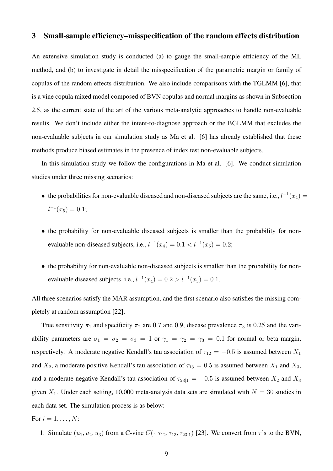## 3 Small-sample efficiency–misspecification of the random effects distribution

An extensive simulation study is conducted (a) to gauge the small-sample efficiency of the ML method, and (b) to investigate in detail the misspecification of the parametric margin or family of copulas of the random effects distribution. We also include comparisons with the TGLMM [\[6\]](#page-18-1), that is a vine copula mixed model composed of BVN copulas and normal margins as shown in Subsection [2.5,](#page-7-0) as the current state of the art of the various meta-analytic approaches to handle non-evaluable results. We don't include either the intent-to-diagnose approach or the BGLMM that excludes the non-evaluable subjects in our simulation study as Ma et al. [\[6\]](#page-18-1) has already established that these methods produce biased estimates in the presence of index test non-evaluable subjects.

In this simulation study we follow the configurations in Ma et al. [\[6\]](#page-18-1). We conduct simulation studies under three missing scenarios:

- the probabilities for non-evaluable diseased and non-diseased subjects are the same, i.e.,  $l^{-1}(x_4)$  =  $l^{-1}(x_5) = 0.1;$
- the probability for non-evaluable diseased subjects is smaller than the probability for nonevaluable non-diseased subjects, i.e.,  $l^{-1}(x_4) = 0.1 < l^{-1}(x_5) = 0.2$ ;
- the probability for non-evaluable non-diseased subjects is smaller than the probability for nonevaluable diseased subjects, i.e.,  $l^{-1}(x_4) = 0.2 > l^{-1}(x_5) = 0.1$ .

All three scenarios satisfy the MAR assumption, and the first scenario also satisfies the missing completely at random assumption [\[22\]](#page-19-4).

True sensitivity  $\pi_1$  and specificity  $\pi_2$  are 0.7 and 0.9, disease prevalence  $\pi_3$  is 0.25 and the variability parameters are  $\sigma_1 = \sigma_2 = \sigma_3 = 1$  or  $\gamma_1 = \gamma_2 = \gamma_3 = 0.1$  for normal or beta margin, respectively. A moderate negative Kendall's tau association of  $\tau_{12} = -0.5$  is assumed between  $X_1$ and  $X_2$ , a moderate positive Kendall's tau association of  $\tau_{13} = 0.5$  is assumed between  $X_1$  and  $X_3$ , and a moderate negative Kendall's tau association of  $\tau_{23|1} = -0.5$  is assumed between  $X_2$  and  $X_3$ given  $X_1$ . Under each setting, 10,000 meta-analysis data sets are simulated with  $N = 30$  studies in each data set. The simulation process is as below:

For 
$$
i = 1, \ldots, N
$$
:

1. Simulate  $(u_1, u_2, u_3)$  from a C-vine  $C(\cdot; \tau_{12}, \tau_{13}, \tau_{23|1})$  [\[23\]](#page-19-5). We convert from  $\tau$ 's to the BVN,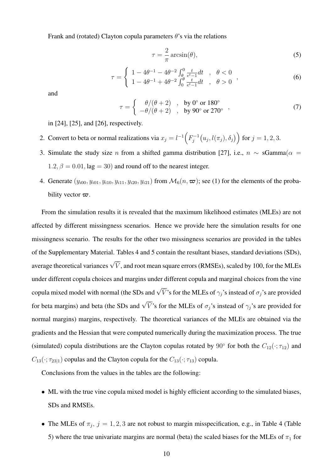Frank and (rotated) Clayton copula parameters  $\theta$ 's via the relations

<span id="page-9-0"></span>
$$
\tau = -\frac{2}{\pi} \arcsin(\theta),\tag{5}
$$

<span id="page-9-1"></span>
$$
\tau = \begin{cases}\n1 - 4\theta^{-1} - 4\theta^{-2} \int_{\theta}^{0} \frac{t}{e^t - 1} dt & , \quad \theta < 0 \\
1 - 4\theta^{-1} + 4\theta^{-2} \int_{0}^{\theta} \frac{t}{e^t - 1} dt & , \quad \theta > 0\n\end{cases}
$$
\n(6)

and

<span id="page-9-2"></span>
$$
\tau = \begin{cases}\n\theta/(\theta + 2) & , \text{ by } 0^{\circ} \text{ or } 180^{\circ} \\
-\theta/(\theta + 2) & , \text{ by } 90^{\circ} \text{ or } 270^{\circ}\n\end{cases}
$$
\n(7)

in [\[24\]](#page-19-6), [\[25\]](#page-19-7), and [\[26\]](#page-19-8), respectively.

- 2. Convert to beta or normal realizations via  $x_j = l^{-1} \left( F_i^{-1} \right)$  $j_j^{-1}\bigl(u_j, l(\pi_j), \delta_j\bigr)\Bigr) \text{ for } j=1,2,3.$
- 3. Simulate the study size n from a shifted gamma distribution [\[27\]](#page-19-9), i.e.,  $n \sim \text{sgamma}(\alpha =$  $1.2, \beta = 0.01, \text{lag} = 30$  and round off to the nearest integer.
- 4. Generate  $(y_{i00}, y_{i01}, y_{i10}, y_{i11}, y_{i20}, y_{i21})$  from  $\mathcal{M}_6(n, \varpi)$ ; see [\(1\)](#page-3-2) for the elements of the probability vector  $\varpi$ .

From the simulation results it is revealed that the maximum likelihood estimates (MLEs) are not affected by different missingness scenarios. Hence we provide here the simulation results for one missingness scenario. The results for the other two missingness scenarios are provided in the tables of the Supplementary Material. Tables [4](#page-10-0) and [5](#page-12-0) contain the resultant biases, standard deviations (SDs), average theoretical variances  $\sqrt{\bar{V}}$ , and root mean square errors (RMSEs), scaled by 100, for the MLEs under different copula choices and margins under different copula and marginal choices from the vine copula mixed model with normal (the SDs and  $\sqrt{\bar{V}}$ 's for the MLEs of  $\gamma_j$ 's instead of  $\sigma_j$ 's are provided for beta margins) and beta (the SDs and  $\sqrt{V}$ 's for the MLEs of  $\sigma_j$ 's instead of  $\gamma_j$ 's are provided for normal margins) margins, respectively. The theoretical variances of the MLEs are obtained via the gradients and the Hessian that were computed numerically during the maximization process. The true (simulated) copula distributions are the Clayton copulas rotated by 90 $\degree$  for both the  $C_{12}(\cdot; \tau_{12})$  and  $C_{13}(\cdot; \tau_{23|1})$  copulas and the Clayton copula for the  $C_{13}(\cdot; \tau_{13})$  copula.

Conclusions from the values in the tables are the following:

- ML with the true vine copula mixed model is highly efficient according to the simulated biases, SDs and RMSEs.
- The MLEs of  $\pi_j$ ,  $j = 1, 2, 3$  are not robust to margin misspecification, e.g., in Table 4 (Table 5) where the true univariate margins are normal (beta) the scaled biases for the MLEs of  $\pi_1$  for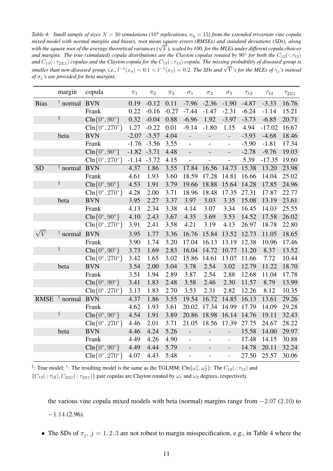<span id="page-10-0"></span>Table 4: Small sample of sizes  $N = 30$  simulations ( $10^4$  replications,  $n_q = 15$ ) from the extended trivariate vine copula *mixed model with normal margins and biases, root mean square errors (RMSEs) and standard deviations (SDs), along* mixea moaet with normat margins ana biases, root mean square errors (KMSEs) ana stanaara aeviations (SDs), atong<br>with the square root of the average theoretical variances (√V), scaled by 100, for the MLEs under different and margins. The true (simulated) copula distributions are the Clayton copulas rotated by  $90^{\circ}$  for both the  $C_{12}(\cdot;\tau_{12})$ *and*  $C_{13}(\cdot;\tau_{23|1})$  *copulas and the Clayton copula for the*  $C_{13}(\cdot;\tau_{13})$  *copula. The missing probability of diseased group is*  $s$ *smaller than non-diseased group, i.e.,*  $l^{-1}(x_4) = 0.1 < l^{-1}(x_5) = 0.2$ . The SDs and  $\sqrt{V}$  *s* for the MLEs of  $\gamma_j$  *s* insteads since  $\gamma_j$  *s* instead *of*  $\sigma_i$ 's are provided for beta margins.

|             | margin                  | copula                                        | $\pi_1$ | $\pi_2$        | $\pi_3$ | $\sigma_1$               | $\sigma_2$               | $\sigma_3$               | $\tau_{12}$ | $\tau_{13}$ | $\tau_{23 1}$ |
|-------------|-------------------------|-----------------------------------------------|---------|----------------|---------|--------------------------|--------------------------|--------------------------|-------------|-------------|---------------|
| <b>Bias</b> | <sup>†</sup> normal BVN |                                               | 0.19    | $-0.12$        | 0.11    | $-7.96$                  | $-2.36$                  | $-1.90$                  | $-4.87$     | $-3.33$     | 16.76         |
|             |                         | Frank                                         | 0.22    | $-0.16$        | $-0.27$ | $-7.44$                  | $-1.47$                  | $-2.31$                  | $-6.24$     | $-1.14$     | 15.21         |
|             | ş                       | $\text{Cln} \{0^\circ, 90^\circ\}$            | 0.32    | $-0.04$        | 0.88    | $-6.96$                  | 1.92                     | $-3.97$                  | $-3.73$     | $-6.85$     | 20.71         |
|             |                         | $\text{Cln} \{0^\circ, 270^\circ\}$           | 1.27    | $-0.22$        | 0.01    | $-9.14$                  | $-1.80$                  | 1.15                     | 4.94        | $-17.02$    | 16.67         |
|             | beta                    | <b>BVN</b>                                    | $-2.07$ | $-3.57$        | 4.04    | $\overline{\phantom{a}}$ | $\overline{\phantom{m}}$ | $\overline{a}$           | $-3.93$     | $-4.68$     | 18.46         |
|             |                         | Frank                                         |         | $-1.76 - 3.56$ | 3.55    | $\overline{a}$           |                          | $\overline{a}$           | $-5.90$     | $-1.81$     | 17.34         |
|             |                         | $\text{Cln} \{0^\circ, 90^\circ\}$            | $-1.82$ | $-3.71$        | 4.48    | $\overline{a}$           |                          | $\overline{a}$           | $-2.78$     | $-9.76$     | 19.03         |
|             |                         | $\text{Cln} \{0^\circ, 270^\circ\}$           | $-1.14$ | $-3.72$        | 4.15    | $\overline{a}$           |                          | $\overline{a}$           | 5.39        | $-17.35$    | 19.60         |
| <b>SD</b>   | <sup>†</sup> normal     | <b>BVN</b>                                    | 4.37    | 1.86           | 3.55    | 17.84                    | 16.56                    | 14.73                    | 15.38       | 13.20       | 23.98         |
|             |                         | Frank                                         | 4.61    | 1.93           | 3.60    | 18.59                    | 17.28                    | 14.81                    | 16.66       | 14.04       | 25.02         |
|             | ş                       | $\text{Cln} \{0^\circ, 90^\circ\}$            | 4.53    | 1.91           | 3.79    | 19.66                    | 18.88                    | 15.64                    | 14.28       | 17.85       | 24.96         |
|             |                         | $\text{Cln} \{0^\circ, 270^\circ\}$           | 4.28    | 2.00           | 3.71    | 18.96                    | 18.48                    | 17.35                    | 27.31       | 17.87       | 22.77         |
|             | beta                    | <b>BVN</b>                                    | 3.95    | 2.27           | 3.37    | 3.97                     | 3.03                     | 3.35                     | 15.08       | 13.19       | 23.61         |
|             |                         | Frank                                         | 4.13    | 2.34           | 3.38    | 4.14                     | 3.07                     | 3.34                     | 16.45       | 14.03       | 25.55         |
|             |                         | $\text{Cln} \{0^\circ, 90^\circ\}$            | 4.10    | 2.43           | 3.67    | 4.35                     | 3.69                     | 3.53                     | 14.52       | 17.58       | 26.02         |
|             |                         | $\text{Cln} \{0^\circ, 270^\circ\}$           | 3.91    | 2.41           | 3.58    | 4.21                     | 3.19                     | 4.13                     | 26.97       | 18.78       | 22.80         |
| $\sqrt{V}$  | $\dagger$ normal        | <b>BVN</b>                                    | 3.95    | 1.77           | 3.36    | 16.76                    | 15.84                    | 13.52                    | 12.73       | 11.05       | 18.65         |
|             |                         | Frank                                         | 3.90    | 1.74           | 3.20    | 17.04                    | 16.13                    | 13.19                    | 12.38       | 10.96       | 17.46         |
|             | ş                       | $\text{Cln} \{0^\circ, 90^\circ\}$            | 3.73    | 1.69           | 2.83    | 16.04                    | 14.72                    | 10.77                    | 11.20       | 8.37        | 13.52         |
|             |                         | $\text{Cln} \{0^\circ, 270^\circ\}$           | 3.42    | 1.65           | 3.02    | 15.86                    | 14.61                    | 13.07                    | 11.66       | 7.72        | 10.44         |
|             | beta                    | <b>BVN</b>                                    | 3.54    | 2.00           | 3.04    | 3.78                     | 2.54                     | 3.02                     | 12.79       | 11.22       | 18.70         |
|             |                         | Frank                                         | 3.51    | 1.94           | 2.89    | 3.87                     | 2.54                     | 2.88                     | 12.68       | 11.04       | 17.78         |
|             |                         | $\text{Cln} \{0^\circ, 90^\circ\}$            | 3.41    | 1.83           | 2.48    | 3.58                     | 2.46                     | 2.30                     | 11.57       | 8.79        | 13.99         |
|             |                         | $\text{Cln} \{0^\circ, 270^\circ \}$          | 3.13    | 1.83           | 2.70    | 3.53                     | 2.31                     | 2.82                     | 12.26       | 8.12        | 10.35         |
| <b>RMSE</b> | $\dagger$ normal        | <b>BVN</b>                                    | 4.37    | 1.86           | 3.55    | 19.54                    | 16.72                    | 14.85                    | 16.13       | 13.61       | 29.26         |
|             |                         | Frank                                         | 4.62    | 1.93           | 3.61    | 20.02                    | 17.34                    | 14.99                    | 17.79       | 14.09       | 29.28         |
|             | ş                       | $\text{Cln} \{0^\circ, 90^\circ\}$            | 4.54    | 1.91           | 3.89    | 20.86                    | 18.98                    | 16.14                    | 14.76       | 19.11       | 32.43         |
|             |                         | $\text{Cln} \{0^\circ, 270^\circ \}$          | 4.46    | 2.01           | 3.71    | 21.05                    | 18.56                    | 17.39                    | 27.75       | 24.67       | 28.22         |
|             | beta                    | <b>BVN</b>                                    | 4.46    | 4.24           | 5.26    | $\blacksquare$           | $\overline{\phantom{a}}$ | $\overline{\phantom{0}}$ | 15.58       | 14.00       | 29.97         |
|             |                         | Frank                                         | 4.49    | 4.26           | 4.90    | $\overline{a}$           |                          | $\overline{a}$           | 17.48       | 14.15       | 30.88         |
|             |                         | $\text{Cln} \{0^\circ, 90^\circ\}$            | 4.49    | 4.44           | 5.79    | $\overline{\phantom{0}}$ |                          | $\overline{\phantom{0}}$ | 14.78       | 20.11       | 32.24         |
|             |                         | $\overline{\text{Cln}}\{0^\circ, 270^\circ\}$ | 4.07    | 4.43           | 5.48    | $\overline{a}$           | $\overline{a}$           | $\overline{\phantom{0}}$ | 27.50       | 25.57       | 30.06         |

§: True model; <sup>†</sup>: The resulting model is the same as the TGLMM; Cln $\{\omega_1^{\circ}, \omega_2^{\circ}\}$ : The  $C_{13}(\cdot; \tau_{13})$  and  ${C_{12}(\cdot; \tau_{12}), C_{23|1}(\cdot; \tau_{23|1})}$  pair copulas are Clayton rotated by  $\omega_1$  and  $\omega_2$  degrees, respectively.

the various vine copula mixed models with beta (normal) margins range from  $-2.07$  (2.10) to  $-1.14$  (2.96).

• The SDs of  $\pi_j$ ,  $j = 1, 2, 3$  are not robust to margin misspecification, e.g., in Table 4 where the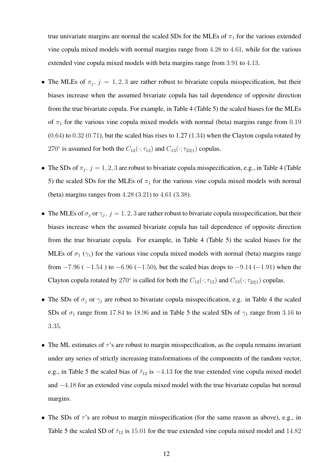true univariate margins are normal the scaled SDs for the MLEs of  $\pi_1$  for the various extended vine copula mixed models with normal margins range from 4.28 to 4.61, while for the various extended vine copula mixed models with beta margins range from 3.91 to 4.13.

- The MLEs of  $\pi_j$ ,  $j = 1, 2, 3$  are rather robust to bivariate copula misspecification, but their biases increase when the assumed bivariate copula has tail dependence of opposite direction from the true bivariate copula. For example, in Table 4 (Table 5) the scaled biases for the MLEs of  $\pi_1$  for the various vine copula mixed models with normal (beta) margins range from 0.19  $(0.64)$  to  $0.32$   $(0.71)$ , but the scaled bias rises to  $1.27$   $(1.34)$  when the Clayton copula rotated by 270 $\degree$  is assumed for both the  $C_{12}(\cdot; \tau_{12})$  and  $C_{13}(\cdot; \tau_{23|1})$  copulas.
- The SDs of  $\pi_j$ ,  $j = 1, 2, 3$  are robust to bivariate copula misspecification, e.g., in Table 4 (Table 5) the scaled SDs for the MLEs of  $\pi_1$  for the various vine copula mixed models with normal (beta) margins ranges from 4.28 (3.21) to 4.61 (3.38).
- The MLEs of  $\sigma_j$  or  $\gamma_j$ ,  $j = 1, 2, 3$  are rather robust to bivariate copula misspecification, but their biases increase when the assumed bivariate copula has tail dependence of opposite direction from the true bivariate copula. For example, in Table 4 (Table 5) the scaled biases for the MLEs of  $\sigma_1$  ( $\gamma_1$ ) for the various vine copula mixed models with normal (beta) margins range from  $-7.96$  ( $-1.54$ ) to  $-6.96$  ( $-1.50$ ), but the scaled bias drops to  $-9.14$  ( $-1.91$ ) when the Clayton copula rotated by 270° is called for both the  $C_{12}(\cdot; \tau_{12})$  and  $C_{13}(\cdot; \tau_{23|1})$  copulas.
- The SDs of  $\sigma_j$  or  $\gamma_j$  are robust to bivariate copula misspecification, e.g. in Table 4 the scaled SDs of  $\sigma_1$  range from 17.84 to 18.96 and in Table 5 the scaled SDs of  $\gamma_1$  range from 3.16 to 3.35.
- The ML estimates of  $\tau$ 's are robust to margin misspecification, as the copula remains invariant under any series of strictly increasing transformations of the components of the random vector, e.g., in Table 5 the scaled bias of  $\hat{\tau}_{12}$  is  $-4.13$  for the true extended vine copula mixed model and −4.18 for an extended vine copula mixed model with the true bivariate copulas but normal margins.
- The SDs of  $\tau$ 's are robust to margin misspecification (for the same reason as above), e.g., in Table 5 the scaled SD of  $\hat{\tau}_{12}$  is 15.01 for the true extended vine copula mixed model and 14.82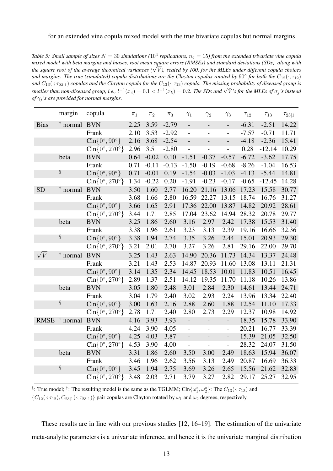#### for an extended vine copula mixed model with the true bivariate copulas but normal margins.

<span id="page-12-0"></span>Table 5: Small sample of sizes  $N=30$  simulations ( $10^4$  replications,  $n_q=15$ ) from the extended trivariate vine copula *mixed model with beta margins and biases, root mean square errors (RMSEs) and standard deviations (SDs), along with* mixea moaet with beta margins ana biases, root mean square errors (KMSEs) ana stanaara aeviations (SDs), atong with<br>the square root of the average theoretical variances (√V), scaled by 100, for the MLEs under different co and margins. The true (simulated) copula distributions are the Clayton copulas rotated by  $90^{\circ}$  for both the  $C_{12}(\cdot;\tau_{12})$ *and*  $C_{13}(\cdot;\tau_{23|1})$  *copulas and the Clayton copula for the*  $C_{13}(\cdot;\tau_{13})$  *copula. The missing probability of diseased group is*  $s$ *smaller than non-diseased group, i.e.,*  $l^{-1}(x_4) = 0.1 < l^{-1}(x_5) = 0.2$ . The SDs and  $\sqrt{V}$  *s* for the MLEs of  $\sigma_j$  *s* insteads since the must be value than non-diseased group, i.e.,  $l^{-1}(x_4) = 0.1 < l^{-1}(x_5) = 0.2$ . T *of*  $\gamma_j$ *'s are provided for normal margins.* 

|             | margin           | copula                               | $\pi_1$ | $\pi_2$ | $\pi_3$ | $\gamma_1$               | $\gamma_2$               | $\gamma_3$               | $\tau_{12}$ | $\tau_{13}$ | $\tau_{23 1}$ |
|-------------|------------------|--------------------------------------|---------|---------|---------|--------------------------|--------------------------|--------------------------|-------------|-------------|---------------|
| <b>Bias</b> | $\dagger$ normal | <b>BVN</b>                           | 2.25    | 3.59    | $-2.79$ | $\overline{a}$           | $\frac{1}{2}$            | $\overline{a}$           | $-6.31$     | $-2.51$     | 14.22         |
|             |                  | Frank                                | 2.10    | 3.53    | $-2.92$ | $\overline{a}$           | $\overline{a}$           | $\overline{a}$           | $-7.57$     | $-0.71$     | 11.71         |
|             |                  | $\text{Cln} \{0^\circ, 90^\circ\}$   | 2.16    | 3.68    | $-2.54$ | $\overline{a}$           | $\overline{a}$           |                          | $-4.18$     | $-2.36$     | 15.41         |
|             |                  | $\text{Cln} \{0^\circ, 270^\circ\}$  | 2.96    | 3.51    | $-2.80$ | $\overline{a}$           | $\overline{a}$           | $\overline{a}$           | 0.28        | $-12.14$    | 10.29         |
|             | beta             | <b>BVN</b>                           | 0.64    | $-0.02$ | 0.10    | $-1.51$                  | $-0.37$                  | $-0.57$                  | $-6.72$     | $-3.62$     | 17.75         |
|             |                  | Frank                                | 0.71    | $-0.11$ | $-0.13$ | $-1.50$                  | $-0.19$                  | $-0.68$                  | $-8.26$     | $-1.04$     | 16.53         |
|             | ş                | $\text{Cln} \{0^\circ, 90^\circ\}$   | 0.71    | $-0.01$ | 0.19    | $-1.54$                  | $-0.03$                  | $-1.03$                  | $-4.13$     | $-5.44$     | 14.81         |
|             |                  | $\text{Cln} \{0^\circ, 270^\circ\}$  | 1.34    | $-0.22$ | 0.20    | $-1.91$                  | $-0.23$                  | $-0.17$                  | $-0.65$     | $-12.45$    | 14.28         |
| <b>SD</b>   | $\dagger$ normal | <b>BVN</b>                           | 3.50    | 1.60    | 2.77    | 16.20                    | 21.16                    | 13.06                    | 17.23       | 15.58       | 30.77         |
|             |                  | Frank                                | 3.68    | 1.66    | 2.80    | 16.59                    | 22.27                    | 13.15                    | 18.74       | 16.76       | 31.27         |
|             |                  | $\text{Cln} \{0^\circ, 90^\circ\}$   | 3.66    | 1.65    | 2.91    | 17.36                    | 22.00                    | 13.87                    | 14.82       | 20.92       | 28.61         |
|             |                  | $\text{Cln} \{0^\circ, 270^\circ\}$  | 3.44    | 1.71    | 2.85    | 17.04                    | 23.62                    | 14.94                    | 28.32       | 20.78       | 29.77         |
|             | beta             | <b>BVN</b>                           | 3.25    | 1.86    | 2.60    | 3.16                     | 2.97                     | 2.42                     | 17.38       | 15.53       | 31.40         |
|             |                  | Frank                                | 3.38    | 1.96    | 2.61    | 3.23                     | 3.13                     | 2.39                     | 19.16       | 16.66       | 32.36         |
|             | ş                | $\text{Cln} \{0^\circ, 90^\circ\}$   | 3.38    | 1.94    | 2.74    | 3.35                     | 3.26                     | 2.44                     | 15.01       | 20.93       | 29.30         |
|             |                  | $\text{Cln} \{0^\circ, 270^\circ \}$ | 3.21    | 2.01    | 2.70    | 3.27                     | 3.26                     | 2.81                     | 29.16       | 22.00       | 29.70         |
| $\sqrt{V}$  | $\dagger$ normal | <b>BVN</b>                           | 3.25    | 1.43    | 2.63    | 14.90                    | 20.36                    | 11.73                    | 14.34       | 13.37       | 24.48         |
|             |                  | Frank                                | 3.21    | 1.43    | 2.53    | 14.87                    | 20.93                    | 11.60                    | 13.08       | 13.11       | 21.31         |
|             |                  | $\text{Cln} \{0^\circ, 90^\circ\}$   | 3.14    | 1.35    | 2.34    | 14.45                    | 18.53                    | 10.01                    | 11.83       | 10.51       | 16.45         |
|             |                  | $\text{Cln} \{0^\circ, 270^\circ\}$  | 2.89    | 1.37    | 2.51    | 14.12                    | 19.35                    | 11.70                    | 11.18       | 10.26       | 13.86         |
|             | beta             | <b>BVN</b>                           | 3.05    | 1.80    | 2.48    | 3.01                     | 2.84                     | 2.30                     | 14.61       | 13.44       | 24.71         |
|             |                  | Frank                                | 3.04    | 1.79    | 2.40    | 3.02                     | 2.93                     | 2.24                     | 13.96       | 13.34       | 22.40         |
|             | ş                | $\text{Cln} \{0^\circ, 90^\circ\}$   | 3.00    | 1.63    | 2.16    | 2.88                     | 2.60                     | 1.88                     | 12.54       | 11.10       | 17.33         |
|             |                  | $\text{Cln} \{0^\circ, 270^\circ \}$ | 2.78    | 1.71    | 2.40    | 2.80                     | 2.73                     | 2.29                     | 12.37       | 10.98       | 14.92         |
| <b>RMSE</b> | $\dagger$ normal | <b>BVN</b>                           | 4.16    | 3.93    | 3.93    | $\overline{a}$           | $\overline{\phantom{0}}$ | $\qquad \qquad -$        | 18.35       | 15.78       | 33.90         |
|             |                  | Frank                                | 4.24    | 3.90    | 4.05    | $\overline{\phantom{0}}$ | $\overline{\phantom{0}}$ | $\overline{\phantom{0}}$ | 20.21       | 16.77       | 33.39         |
|             |                  | $\text{Cln} \{0^\circ, 90^\circ\}$   | 4.25    | 4.03    | 3.87    | $\overline{a}$           | $\overline{a}$           | $\overline{a}$           | 15.39       | 21.05       | 32.50         |
|             |                  | $\text{Cln} \{0^\circ, 270^\circ \}$ | 4.53    | 3.90    | 4.00    | $\overline{a}$           |                          | $\overline{a}$           | 28.32       | 24.07       | 31.50         |
|             | beta             | <b>BVN</b>                           | 3.31    | 1.86    | 2.60    | 3.50                     | 3.00                     | 2.49                     | 18.63       | 15.94       | 36.07         |
|             |                  | Frank                                | 3.46    | 1.96    | 2.62    | 3.56                     | 3.13                     | 2.49                     | 20.87       | 16.69       | 36.33         |
|             | ş                | $\text{Cln} \{0^\circ, 90^\circ\}$   | 3.45    | 1.94    | 2.75    | 3.69                     | 3.26                     | 2.65                     | 15.56       | 21.62       | 32.83         |
|             |                  | $\text{Cln} \{0^\circ, 270^\circ\}$  | 3.48    | 2.03    | 2.71    | 3.79                     | 3.27                     | 2.82                     | 29.17       | 25.27       | 32.95         |

§: True model; <sup>†</sup>: The resulting model is the same as the TGLMM; Cln $\{\omega_1^{\circ}, \omega_2^{\circ}\}$ : The  $C_{13}(\cdot; \tau_{13})$  and  ${C_{12}(\cdot; \tau_{12}), C_{23|1}(\cdot; \tau_{23|1})}$  pair copulas are Clayton rotated by  $\omega_1$  and  $\omega_2$  degrees, respectively.

These results are in line with our previous studies [\[12,](#page-18-6) [16–](#page-19-0)[19\]](#page-19-1). The estimation of the univariate meta-analytic parameters is a univariate inference, and hence it is the univariate marginal distribution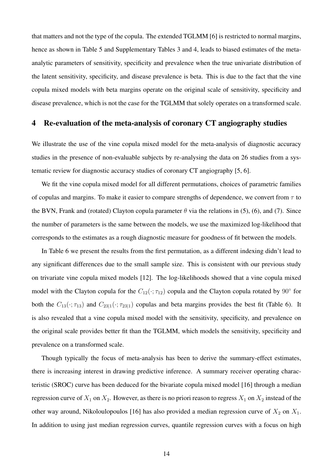that matters and not the type of the copula. The extended TGLMM [\[6\]](#page-18-1) is restricted to normal margins, hence as shown in Table [5](#page-12-0) and Supplementary Tables 3 and 4, leads to biased estimates of the metaanalytic parameters of sensitivity, specificity and prevalence when the true univariate distribution of the latent sensitivity, specificity, and disease prevalence is beta. This is due to the fact that the vine copula mixed models with beta margins operate on the original scale of sensitivity, specificity and disease prevalence, which is not the case for the TGLMM that solely operates on a transformed scale.

## <span id="page-13-0"></span>4 Re-evaluation of the meta-analysis of coronary CT angiography studies

We illustrate the use of the vine copula mixed model for the meta-analysis of diagnostic accuracy studies in the presence of non-evaluable subjects by re-analysing the data on 26 studies from a systematic review for diagnostic accuracy studies of coronary CT angiography [\[5,](#page-18-0) [6\]](#page-18-1).

We fit the vine copula mixed model for all different permutations, choices of parametric families of copulas and margins. To make it easier to compare strengths of dependence, we convert from  $\tau$  to the BVN, Frank and (rotated) Clayton copula parameter  $\theta$  via the relations in [\(5\)](#page-9-0), [\(6\)](#page-9-1), and [\(7\)](#page-9-2). Since the number of parameters is the same between the models, we use the maximized log-likelihood that corresponds to the estimates as a rough diagnostic measure for goodness of fit between the models.

In Table [6](#page-14-0) we present the results from the first permutation, as a different indexing didn't lead to any significant differences due to the small sample size. This is consistent with our previous study on trivariate vine copula mixed models [\[12\]](#page-18-6). The log-likelihoods showed that a vine copula mixed model with the Clayton copula for the  $C_{12}(\cdot; \tau_{12})$  copula and the Clayton copula rotated by  $90^{\circ}$  for both the  $C_{13}(\cdot; \tau_{13})$  and  $C_{23|1}(\cdot; \tau_{23|1})$  copulas and beta margins provides the best fit (Table [6\)](#page-14-0). It is also revealed that a vine copula mixed model with the sensitivity, specificity, and prevalence on the original scale provides better fit than the TGLMM, which models the sensitivity, specificity and prevalence on a transformed scale.

Though typically the focus of meta-analysis has been to derive the summary-effect estimates, there is increasing interest in drawing predictive inference. A summary receiver operating characteristic (SROC) curve has been deduced for the bivariate copula mixed model [\[16\]](#page-19-0) through a median regression curve of  $X_1$  on  $X_2$ . However, as there is no priori reason to regress  $X_1$  on  $X_2$  instead of the other way around, Nikoloulopoulos [\[16\]](#page-19-0) has also provided a median regression curve of  $X_2$  on  $X_1$ . In addition to using just median regression curves, quantile regression curves with a focus on high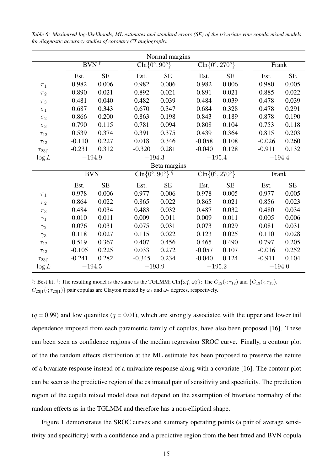|               |                                       |           |          | Normal margins                                 |  |                                    |                                               |  |          |           |  |
|---------------|---------------------------------------|-----------|----------|------------------------------------------------|--|------------------------------------|-----------------------------------------------|--|----------|-----------|--|
|               | $BVN$ <sup><math>\dagger</math></sup> |           |          | $\overline{\text{Cln} \{0^\circ, 90^\circ\}}$  |  | $\text{Cln}\{0^\circ, 270^\circ\}$ |                                               |  | Frank    |           |  |
|               | Est.                                  | <b>SE</b> | Est.     | <b>SE</b>                                      |  | Est.                               | <b>SE</b>                                     |  | Est.     | <b>SE</b> |  |
| $\pi_1$       | 0.982                                 | 0.006     | 0.982    | 0.006                                          |  | 0.982                              | 0.006                                         |  | 0.980    | 0.005     |  |
| $\pi_2$       | 0.890                                 | 0.021     | 0.892    | 0.021                                          |  | 0.891                              | 0.021                                         |  | 0.885    | 0.022     |  |
| $\pi_3$       | 0.481                                 | 0.040     | 0.482    | 0.039                                          |  | 0.484                              | 0.039                                         |  | 0.478    | 0.039     |  |
| $\sigma_1$    | 0.687                                 | 0.343     | 0.670    | 0.347                                          |  | 0.684                              | 0.328                                         |  | 0.478    | 0.291     |  |
| $\sigma_2$    | 0.866                                 | 0.200     | 0.863    | 0.198                                          |  | 0.843                              | 0.189                                         |  | 0.878    | 0.190     |  |
| $\sigma_3$    | 0.790                                 | 0.115     | 0.781    | 0.094                                          |  | 0.808                              | 0.104                                         |  | 0.753    | 0.118     |  |
| $\tau_{12}$   | 0.539                                 | 0.374     | 0.391    | 0.375                                          |  | 0.439                              | 0.364                                         |  | 0.815    | 0.203     |  |
| $\tau_{13}$   | $-0.110$                              | 0.227     | 0.018    | 0.346                                          |  | $-0.058$                           | 0.108                                         |  | $-0.026$ | 0.260     |  |
| $\tau_{23 1}$ | $-0.231$                              | 0.312     | $-0.320$ | 0.281                                          |  | $-0.040$                           | 0.128                                         |  | $-0.911$ | 0.132     |  |
| $\log L$      |                                       | $-194.9$  |          | $-194.3$                                       |  | $-195.4$                           |                                               |  | $-194.4$ |           |  |
|               |                                       |           |          | Beta margins                                   |  |                                    |                                               |  |          |           |  |
|               | <b>BVN</b>                            |           |          | $\overline{\text{Cln}\{0^\circ, 90^\circ\}}$ § |  |                                    | $\text{Cln}\left\{0^\circ, 270^\circ\right\}$ |  |          | Frank     |  |
|               | Est.                                  | <b>SE</b> | Est.     | <b>SE</b>                                      |  | Est.                               | <b>SE</b>                                     |  | Est.     | $\rm SE$  |  |
| $\pi_1$       | 0.978                                 | 0.006     | 0.977    | 0.006                                          |  | 0.978                              | 0.005                                         |  | 0.977    | 0.005     |  |
| $\pi_2$       | 0.864                                 | 0.022     | 0.865    | 0.022                                          |  | 0.865                              | 0.021                                         |  | 0.856    | 0.023     |  |
| $\pi_3$       | 0.484                                 | 0.034     | 0.483    | 0.032                                          |  | 0.487                              | 0.032                                         |  | 0.480    | 0.034     |  |
| $\gamma_1$    | 0.010                                 | 0.011     | 0.009    | 0.011                                          |  | 0.009                              | 0.011                                         |  | 0.005    | 0.006     |  |
| $\gamma_2$    | 0.076                                 | 0.031     | 0.075    | 0.031                                          |  | 0.073                              | 0.029                                         |  | 0.081    | 0.031     |  |
| $\gamma_3$    | 0.118                                 | 0.027     | 0.115    | 0.022                                          |  | 0.123                              | 0.025                                         |  | 0.110    | 0.028     |  |
| $\tau_{12}$   | 0.519                                 | 0.367     | 0.407    | 0.456                                          |  | 0.465                              | 0.490                                         |  | 0.797    | 0.205     |  |
| $\tau_{13}$   | $-0.105$                              | 0.225     | 0.033    | 0.272                                          |  | $-0.057$                           | 0.107                                         |  | $-0.016$ | 0.252     |  |
| $\tau_{23 1}$ | $-0.241$                              | 0.282     | $-0.345$ | 0.234                                          |  | $-0.040$                           | 0.124                                         |  | $-0.911$ | 0.104     |  |
| $\log L$      | $-194.5$                              |           |          | $-193.9$                                       |  | $-195.2$                           |                                               |  | $-194.0$ |           |  |

<span id="page-14-0"></span>*Table 6: Maximised log-likelihoods, ML estimates and standard errors (SE) of the trivariate vine copula mixed models for diagnostic accuracy studies of coronary CT angiography.*

§: Best fit; <sup>†</sup>: The resulting model is the same as the TGLMM; Cln $\{\omega_1^{\circ}, \omega_2^{\circ}\}$ : The  $C_{12}(\cdot; \tau_{12})$  and  $\{C_{13}(\cdot; \tau_{13})$ ,  $C_{23|1}(\cdot;\tau_{23|1})$ } pair copulas are Clayton rotated by  $\omega_1$  and  $\omega_2$  degrees, respectively.

 $(q = 0.99)$  and low quantiles  $(q = 0.01)$ , which are strongly associated with the upper and lower tail dependence imposed from each parametric family of copulas, have also been proposed [\[16\]](#page-19-0). These can been seen as confidence regions of the median regression SROC curve. Finally, a contour plot of the the random effects distribution at the ML estimate has been proposed to preserve the nature of a bivariate response instead of a univariate response along with a covariate [\[16\]](#page-19-0). The contour plot can be seen as the predictive region of the estimated pair of sensitivity and specificity. The prediction region of the copula mixed model does not depend on the assumption of bivariate normality of the random effects as in the TGLMM and therefore has a non-elliptical shape.

Figure [1](#page-15-0) demonstrates the SROC curves and summary operating points (a pair of average sensitivity and specificity) with a confidence and a predictive region from the best fitted and BVN copula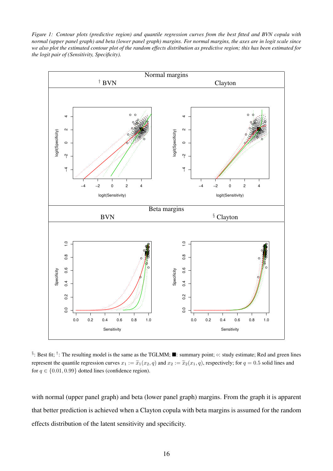<span id="page-15-0"></span>*Figure 1: Contour plots (predictive region) and quantile regression curves from the best fitted and BVN copula with normal (upper panel graph) and beta (lower panel graph) margins. For normal margins, the axes are in logit scale since we also plot the estimated contour plot of the random effects distribution as predictive region; this has been estimated for the logit pair of (Sensitivity, Specificity).*



§: Best fit; <sup>†</sup>: The resulting model is the same as the TGLMM;  $\blacksquare$ : summary point;  $\circ$ : study estimate; Red and green lines represent the quantile regression curves  $x_1 := \tilde{x}_1(x_2, q)$  and  $x_2 := \tilde{x}_2(x_1, q)$ , respectively; for  $q = 0.5$  solid lines and for  $q \in \{0.01, 0.99\}$  dotted lines (confidence region).

with normal (upper panel graph) and beta (lower panel graph) margins. From the graph it is apparent that better prediction is achieved when a Clayton copula with beta margins is assumed for the random effects distribution of the latent sensitivity and specificity.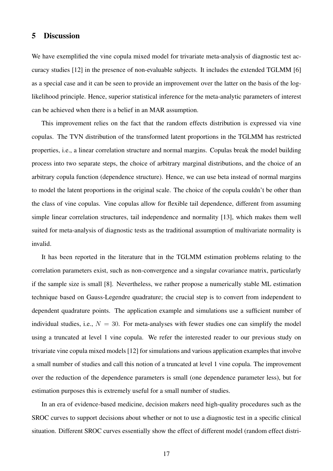## 5 Discussion

We have exemplified the vine copula mixed model for trivariate meta-analysis of diagnostic test accuracy studies [\[12\]](#page-18-6) in the presence of non-evaluable subjects. It includes the extended TGLMM [\[6\]](#page-18-1) as a special case and it can be seen to provide an improvement over the latter on the basis of the loglikelihood principle. Hence, superior statistical inference for the meta-analytic parameters of interest can be achieved when there is a belief in an MAR assumption.

This improvement relies on the fact that the random effects distribution is expressed via vine copulas. The TVN distribution of the transformed latent proportions in the TGLMM has restricted properties, i.e., a linear correlation structure and normal margins. Copulas break the model building process into two separate steps, the choice of arbitrary marginal distributions, and the choice of an arbitrary copula function (dependence structure). Hence, we can use beta instead of normal margins to model the latent proportions in the original scale. The choice of the copula couldn't be other than the class of vine copulas. Vine copulas allow for flexible tail dependence, different from assuming simple linear correlation structures, tail independence and normality [\[13\]](#page-18-7), which makes them well suited for meta-analysis of diagnostic tests as the traditional assumption of multivariate normality is invalid.

It has been reported in the literature that in the TGLMM estimation problems relating to the correlation parameters exist, such as non-convergence and a singular covariance matrix, particularly if the sample size is small [\[8\]](#page-18-3). Nevertheless, we rather propose a numerically stable ML estimation technique based on Gauss-Legendre quadrature; the crucial step is to convert from independent to dependent quadrature points. The application example and simulations use a sufficient number of individual studies, i.e.,  $N = 30$ . For meta-analyses with fewer studies one can simplify the model using a truncated at level 1 vine copula. We refer the interested reader to our previous study on trivariate vine copula mixed models [\[12\]](#page-18-6) for simulations and various application examples that involve a small number of studies and call this notion of a truncated at level 1 vine copula. The improvement over the reduction of the dependence parameters is small (one dependence parameter less), but for estimation purposes this is extremely useful for a small number of studies.

In an era of evidence-based medicine, decision makers need high-quality procedures such as the SROC curves to support decisions about whether or not to use a diagnostic test in a specific clinical situation. Different SROC curves essentially show the effect of different model (random effect distri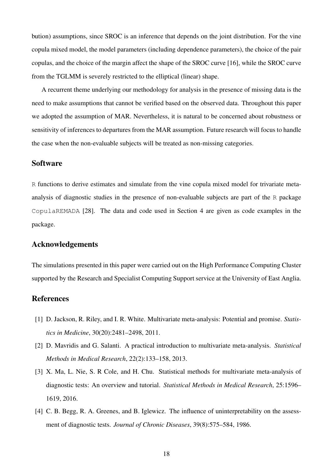bution) assumptions, since SROC is an inference that depends on the joint distribution. For the vine copula mixed model, the model parameters (including dependence parameters), the choice of the pair copulas, and the choice of the margin affect the shape of the SROC curve [\[16\]](#page-19-0), while the SROC curve from the TGLMM is severely restricted to the elliptical (linear) shape.

A recurrent theme underlying our methodology for analysis in the presence of missing data is the need to make assumptions that cannot be verified based on the observed data. Throughout this paper we adopted the assumption of MAR. Nevertheless, it is natural to be concerned about robustness or sensitivity of inferences to departures from the MAR assumption. Future research will focus to handle the case when the non-evaluable subjects will be treated as non-missing categories.

# **Software**

R functions to derive estimates and simulate from the vine copula mixed model for trivariate metaanalysis of diagnostic studies in the presence of non-evaluable subjects are part of the R package CopulaREMADA [\[28\]](#page-19-10). The data and code used in Section [4](#page-13-0) are given as code examples in the package.

# Acknowledgements

The simulations presented in this paper were carried out on the High Performance Computing Cluster supported by the Research and Specialist Computing Support service at the University of East Anglia.

## References

- <span id="page-17-0"></span>[1] D. Jackson, R. Riley, and I. R. White. Multivariate meta-analysis: Potential and promise. *Statistics in Medicine*, 30(20):2481–2498, 2011.
- [2] D. Mavridis and G. Salanti. A practical introduction to multivariate meta-analysis. *Statistical Methods in Medical Research*, 22(2):133–158, 2013.
- <span id="page-17-1"></span>[3] X. Ma, L. Nie, S. R Cole, and H. Chu. Statistical methods for multivariate meta-analysis of diagnostic tests: An overview and tutorial. *Statistical Methods in Medical Research*, 25:1596– 1619, 2016.
- <span id="page-17-2"></span>[4] C. B. Begg, R. A. Greenes, and B. Iglewicz. The influence of uninterpretability on the assessment of diagnostic tests. *Journal of Chronic Diseases*, 39(8):575–584, 1986.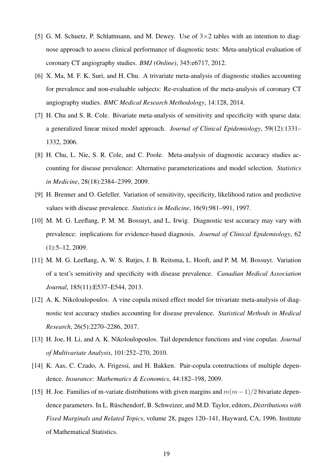- <span id="page-18-0"></span>[5] G. M. Schuetz, P. Schlattmann, and M. Dewey. Use of  $3 \times 2$  tables with an intention to diagnose approach to assess clinical performance of diagnostic tests: Meta-analytical evaluation of coronary CT angiography studies. *BMJ (Online)*, 345:e6717, 2012.
- <span id="page-18-1"></span>[6] X. Ma, M. F. K. Suri, and H. Chu. A trivariate meta-analysis of diagnostic studies accounting for prevalence and non-evaluable subjects: Re-evaluation of the meta-analysis of coronary CT angiography studies. *BMC Medical Research Methodology*, 14:128, 2014.
- <span id="page-18-2"></span>[7] H. Chu and S. R. Cole. Bivariate meta-analysis of sensitivity and specificity with sparse data: a generalized linear mixed model approach. *Journal of Clinical Epidemiology*, 59(12):1331– 1332, 2006.
- <span id="page-18-3"></span>[8] H. Chu, L. Nie, S. R. Cole, and C. Poole. Meta-analysis of diagnostic accuracy studies accounting for disease prevalence: Alternative parameterizations and model selection. *Statistics in Medicine*, 28(18):2384–2399, 2009.
- <span id="page-18-4"></span>[9] H. Brenner and O. Gefeller. Variation of sensitivity, specificity, likelihood ratios and predictive values with disease prevalence. *Statistics in Medicine*, 16(9):981–991, 1997.
- [10] M. M. G. Leeflang, P. M. M. Bossuyt, and L. Irwig. Diagnostic test accuracy may vary with prevalence: implications for evidence-based diagnosis. *Journal of Clinical Epidemiology*, 62 (1):5–12, 2009.
- <span id="page-18-5"></span>[11] M. M. G. Leeflang, A. W. S. Rutjes, J. B. Reitsma, L. Hooft, and P. M. M. Bossuyt. Variation of a test's sensitivity and specificity with disease prevalence. *Canadian Medical Association Journal*, 185(11):E537–E544, 2013.
- <span id="page-18-6"></span>[12] A. K. Nikoloulopoulos. A vine copula mixed effect model for trivariate meta-analysis of diagnostic test accuracy studies accounting for disease prevalence. *Statistical Methods in Medical Research*, 26(5):2270–2286, 2017.
- <span id="page-18-7"></span>[13] H. Joe, H. Li, and A. K. Nikoloulopoulos. Tail dependence functions and vine copulas. *Journal of Multivariate Analysis*, 101:252–270, 2010.
- <span id="page-18-8"></span>[14] K. Aas, C. Czado, A. Frigessi, and H. Bakken. Pair-copula constructions of multiple dependence. *Insurance: Mathematics & Economics*, 44:182–198, 2009.
- <span id="page-18-9"></span>[15] H. Joe. Families of m-variate distributions with given margins and  $m(m-1)/2$  bivariate dependence parameters. In L. Rüschendorf, B. Schweizer, and M.D. Taylor, editors, *Distributions with Fixed Marginals and Related Topics*, volume 28, pages 120–141, Hayward, CA, 1996. Institute of Mathematical Statistics.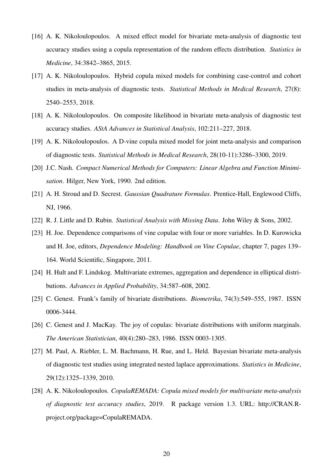- <span id="page-19-0"></span>[16] A. K. Nikoloulopoulos. A mixed effect model for bivariate meta-analysis of diagnostic test accuracy studies using a copula representation of the random effects distribution. *Statistics in Medicine*, 34:3842–3865, 2015.
- [17] A. K. Nikoloulopoulos. Hybrid copula mixed models for combining case-control and cohort studies in meta-analysis of diagnostic tests. *Statistical Methods in Medical Research*, 27(8): 2540–2553, 2018.
- [18] A. K. Nikoloulopoulos. On composite likelihood in bivariate meta-analysis of diagnostic test accuracy studies. *AStA Advances in Statistical Analysis*, 102:211–227, 2018.
- <span id="page-19-1"></span>[19] A. K. Nikoloulopoulos. A D-vine copula mixed model for joint meta-analysis and comparison of diagnostic tests. *Statistical Methods in Medical Research*, 28(10-11):3286–3300, 2019.
- <span id="page-19-2"></span>[20] J.C. Nash. *Compact Numerical Methods for Computers: Linear Algebra and Function Minimisation*. Hilger, New York, 1990. 2nd edition.
- <span id="page-19-3"></span>[21] A. H. Stroud and D. Secrest. *Gaussian Quadrature Formulas*. Prentice-Hall, Englewood Cliffs, NJ, 1966.
- <span id="page-19-5"></span><span id="page-19-4"></span>[22] R. J. Little and D. Rubin. *Statistical Analysis with Missing Data*. John Wiley & Sons, 2002.
- [23] H. Joe. Dependence comparisons of vine copulae with four or more variables. In D. Kurowicka and H. Joe, editors, *Dependence Modeling: Handbook on Vine Copulae*, chapter 7, pages 139– 164. World Scientific, Singapore, 2011.
- <span id="page-19-6"></span>[24] H. Hult and F. Lindskog. Multivariate extremes, aggregation and dependence in elliptical distributions. *Advances in Applied Probability*, 34:587–608, 2002.
- <span id="page-19-7"></span>[25] C. Genest. Frank's family of bivariate distributions. *Biometrika*, 74(3):549–555, 1987. ISSN 0006-3444.
- <span id="page-19-8"></span>[26] C. Genest and J. MacKay. The joy of copulas: bivariate distributions with uniform marginals. *The American Statistician*, 40(4):280–283, 1986. ISSN 0003-1305.
- <span id="page-19-9"></span>[27] M. Paul, A. Riebler, L. M. Bachmann, H. Rue, and L. Held. Bayesian bivariate meta-analysis of diagnostic test studies using integrated nested laplace approximations. *Statistics in Medicine*, 29(12):1325–1339, 2010.
- <span id="page-19-10"></span>[28] A. K. Nikoloulopoulos. *CopulaREMADA: Copula mixed models for multivariate meta-analysis of diagnostic test accuracy studies*, 2019. R package version 1.3. URL: [http://CRAN.R](http://CRAN.R-project.org/package=CopulaREMADA)[project.org/package=CopulaREMADA.](http://CRAN.R-project.org/package=CopulaREMADA)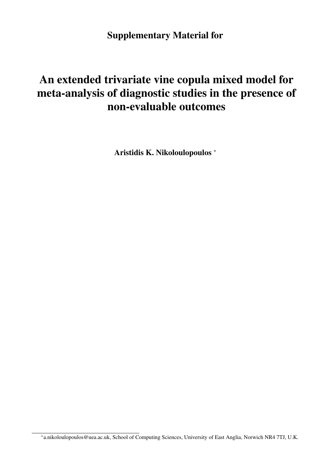Supplementary Material for

# An extended trivariate vine copula mixed model for meta-analysis of diagnostic studies in the presence of non-evaluable outcomes

Aristidis K. Nikoloulopoulos [∗](#page-0-0)

∗ [a.nikoloulopoulos@uea.ac.uk,](mailto:a.nikoloulopoulos@uea.ac.uk) School of Computing Sciences, University of East Anglia, Norwich NR4 7TJ, U.K.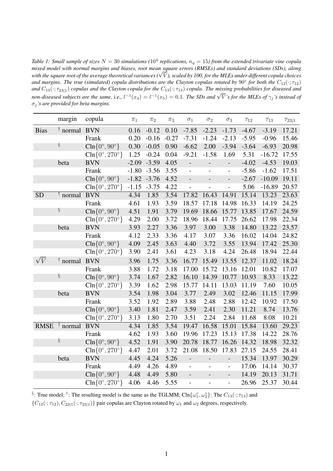Table 1: Small sample of sizes  $N=30$  simulations ( $10^4$  replications,  $n_q=15$ ) from the extended trivariate vine copula mixed model with normal margins and biases, root mean square errors (RMSEs) and standard deviations (SDs), along<br>with the square root of the average theoretical variances ( $\sqrt{\bar{V}}$ ), scaled by 100, for the MLEs under dif and margins. The true (simulated) copula distributions are the Clayton copulas rotated by  $90^{\circ}$  for both the  $C_{12}(\cdot;\tau_{12})$ and  $C_{13}(\cdot;\tau_{23|1})$  copulas and the Clayton copula for the  $C_{13}(\cdot;\tau_{13})$  copula. The missing probabilities for diseased and  $n_0$   $\overline{C_{13}}(\cdot, \tau_{23|1})$  copies and the Calylon copied for the  $C_{13}(\cdot, \tau_{13})$  copied. The missing probabilities for diseased and  $n_0$  and  $\sqrt{\overline{V}}$  *s* for the MLEs of  $\gamma_j$  *s* instead of σ<sup>j</sup> *'s are provided for beta margins.*

|             | margin           | copula                               | $\pi_1$        | $\pi_2$ | $\pi_3$ | $\sigma_1$               | $\sigma_2$               | $\sigma_3$               | $\tau_{12}$ | $\tau_{13}$ | $\tau_{23 1}$ |
|-------------|------------------|--------------------------------------|----------------|---------|---------|--------------------------|--------------------------|--------------------------|-------------|-------------|---------------|
| <b>Bias</b> | $\dagger$ normal | <b>BVN</b>                           | 0.16           | $-0.12$ | 0.10    | $-7.85$                  | $-2.23$                  | $-1.73$                  | $-4.67$     | $-3.19$     | 17.21         |
|             |                  | Frank                                | 0.20           | $-0.16$ | $-0.27$ | $-7.31$                  | $-1.24$                  | $-2.13$                  | $-5.95$     | $-0.96$     | 15.46         |
|             | ş                | $\text{Cln} \{0^\circ, 90^\circ\}$   | 0.30           | $-0.05$ | 0.90    | $-6.62$                  | 2.00                     | $-3.94$                  | $-3.64$     | $-6.93$     | 20.98         |
|             |                  | $\text{Cln} \{0^\circ, 270^\circ\}$  | 1.25           | $-0.24$ | 0.04    | $-9.21$                  | $-1.58$                  | 1.69                     | 5.31        | $-16.72$    | 17.55         |
|             | beta             | <b>BVN</b>                           | $-2.09$        | $-3.59$ | 4.05    | $\qquad \qquad -$        | $\overline{\phantom{0}}$ | $\overline{\phantom{0}}$ | $-4.02$     | $-4.53$     | 19.03         |
|             |                  | Frank                                | $-1.80$        | $-3.56$ | 3.55    | $\overline{\phantom{0}}$ | $\overline{a}$           | $\overline{\phantom{0}}$ | $-5.86$     | $-1.62$     | 17.51         |
|             |                  | $\text{Cln} \{0^\circ, 90^\circ\}$   | $-1.82 - 3.76$ |         | 4.52    | $\overline{\phantom{m}}$ | $\overline{a}$           | $\overline{a}$           | $-2.67$     | $-10.09$    | 19.11         |
|             |                  | $\text{Cln} \{0^\circ, 270^\circ\}$  | $-1.15$        | $-3.75$ | 4.22    | $\overline{a}$           |                          | $\overline{\phantom{0}}$ | 5.06        | $-16.89$    | 20.57         |
| <b>SD</b>   | $\dagger$ normal | <b>BVN</b>                           | 4.34           | 1.85    | 3.54    | 17.82                    | 16.43                    | 14.91                    | 15.14       | 13.23       | 23.63         |
|             |                  | Frank                                | 4.61           | 1.93    | 3.59    | 18.57                    | 17.18                    | 14.98                    | 16.33       | 14.19       | 24.25         |
|             | ş                | $\text{Cln} \{0^\circ, 90^\circ\}$   | 4.51           | 1.91    | 3.79    | 19.69                    | 18.66                    | 15.77                    | 13.85       | 17.67       | 24.59         |
|             |                  | $\text{Cln} \{0^\circ, 270^\circ\}$  | 4.29           | 2.00    | 3.72    | 18.96                    | 18.44                    | 17.75                    | 26.62       | 17.98       | 22.34         |
|             | beta             | <b>BVN</b>                           | 3.93           | 2.27    | 3.36    | 3.97                     | 3.00                     | 3.38                     | 14.80       | 13.22       | 23.57         |
|             |                  | Frank                                | 4.12           | 2.33    | 3.36    | 4.17                     | 3.07                     | 3.36                     | 16.02       | 14.04       | 24.82         |
|             |                  | $\text{Cln} \{0^\circ, 90^\circ\}$   | 4.09           | 2.45    | 3.63    | 4.40                     | 3.72                     | 3.55                     | 13.94       | 17.42       | 25.30         |
|             |                  | $\text{Cln} \{0^\circ, 270^\circ\}$  | 3.90           | 2.41    | 3.61    | 4.23                     | 3.18                     | 4.24                     | 26.48       | 18.94       | 22.44         |
| $\sqrt{V}$  | $\dagger$ normal | <b>BVN</b>                           | 3.96           | 1.75    | 3.36    | 16.77                    | 15.49                    | 13.55                    | 12.37       | 11.02       | 18.24         |
|             |                  | Frank                                | 3.88           | 1.72    | 3.18    | 17.00                    | 15.72                    | 13.16                    | 12.01       | 10.82       | 17.07         |
|             | ş                | $\text{Cln} \{0^\circ, 90^\circ\}$   | 3.74           | 1.67    | 2.82    | 16.10                    | 14.39                    | 10.77                    | 10.93       | 8.33        | 13.22         |
|             |                  | $\text{Cln} \{0^\circ, 270^\circ\}$  | 3.39           | 1.62    | 2.98    | 15.77                    | 14.11                    | 13.03                    | 11.19       | 7.60        | 10.05         |
|             | beta             | <b>BVN</b>                           | 3.54           | 1.98    | 3.04    | 3.77                     | 2.49                     | 3.02                     | 12.46       | 11.15       | 17.99         |
|             |                  | Frank                                | 3.52           | 1.92    | 2.89    | 3.88                     | 2.48                     | 2.88                     | 12.42       | 10.92       | 17.50         |
|             |                  | $\text{Cln} \{0^\circ, 90^\circ\}$   | 3.40           | 1.81    | 2.47    | 3.59                     | 2.41                     | 2.30                     | 11.21       | 8.74        | 13.76         |
|             |                  | $\text{Cln} \{0^\circ, 270^\circ\}$  | 3.13           | 1.80    | 2.70    | 3.51                     | 2.24                     | 2.84                     | 11.68       | 8.08        | 10.21         |
| <b>RMSE</b> | $\dagger$ normal | <b>BVN</b>                           | 4.34           | 1.85    | 3.54    | 19.47                    | 16.58                    | 15.01                    | 15.84       | 13.60       | 29.23         |
|             |                  | Frank                                | 4.62           | 1.93    | 3.60    | 19.96                    | 17.23                    | 15.13                    | 17.38       | 14.22       | 28.76         |
|             | ş                | $\text{Cln} \{0^\circ, 90^\circ\}$   | 4.52           | 1.91    | 3.90    | 20.78                    | 18.77                    | 16.26                    | 14.32       | 18.98       | 32.32         |
|             |                  | $\text{Cln} \{0^\circ, 270^\circ \}$ | 4.47           | 2.01    | 3.72    | 21.08                    | 18.50                    | 17.83                    | 27.15       | 24.55       | 28.41         |
|             | beta             | <b>BVN</b>                           | 4.45           | 4.24    | 5.26    | $\overline{\phantom{0}}$ | $\overline{a}$           | $\overline{a}$           | 15.34       | 13.97       | 30.29         |
|             |                  | Frank                                | 4.49           | 4.26    | 4.89    | $\overline{\phantom{m}}$ |                          | $\overline{a}$           | 17.06       | 14.14       | 30.37         |
|             |                  | $\text{Cln} \{0^\circ, 90^\circ\}$   | 4.48           | 4.49    | 5.80    | $\overline{\phantom{0}}$ |                          | $\overline{\phantom{0}}$ | 14.19       | 20.13       | 31.71         |
|             |                  | $\text{Cln} \{0^\circ, 270^\circ\}$  | 4.06           | 4.46    | 5.55    | $\overline{\phantom{0}}$ |                          | $\overline{\phantom{0}}$ | 26.96       | 25.37       | 30.44         |

 $\{C_{12}(\cdot;\tau_{12}), C_{23|1}(\cdot;\tau_{23|1})\}$  pair copulas are Clayton rotated by  $\omega_1$  and  $\omega_2$  degrees, respectively.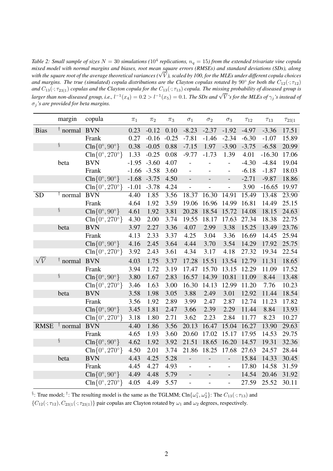Table 2: Small sample of sizes  $N=30$  simulations ( $10^4$  replications,  $n_q=15$ ) from the extended trivariate vine copula *mixed model with normal margins and biases, root mean square errors (RMSEs) and standard deviations (SDs), along* mixea moaet with normat margins ana biases, root mean square errors (KMSEs) ana stanaara aeviations (SDs), atong<br>with the square root of the average theoretical variances (√V), scaled by 100, for the MLEs under different and margins. The true (simulated) copula distributions are the Clayton copulas rotated by  $90^{\circ}$  for both the  $C_{12}(\cdot;\tau_{12})$ and  $C_{13}(\cdot;\tau_{23|1})$  *copulas and the Clayton copula for the*  $C_{13}(\cdot;\tau_{13})$  *copula. The missing probability of diseased group is larger than non-diseased group, i.e.,*  $l^{-1}(x_4) = 0.2 > l^{-1}(x_5) = 0.1$ . The SDs and  $\sqrt{V}$ 's for the MLEs of  $\gamma_j$ 's instead of anger than non-diseased group, i.e.,  $l^{-1}(x_4) = 0.2 > l^{-1}(x_5) = 0.1$ . The SDs and  $\sqrt{V}$ 's for σ<sup>j</sup> *'s are provided for beta margins.*

|             | margin           | copula                               | $\pi_1$ | $\pi_2$ | $\pi_3$ | $\sigma_1$                   | $\sigma_2$               | $\sigma_3$               | $\tau_{12}$ | $\tau_{13}$ | $\tau_{23 1}$ |
|-------------|------------------|--------------------------------------|---------|---------|---------|------------------------------|--------------------------|--------------------------|-------------|-------------|---------------|
| <b>Bias</b> | $\dagger$ normal | <b>BVN</b>                           | 0.23    | $-0.12$ | 0.10    | $-8.23$                      | $-2.37$                  | $-1.92$                  | $-4.97$     | $-3.36$     | 17.51         |
|             |                  | Frank                                | 0.27    | $-0.16$ | $-0.25$ | $-7.81$                      | $-1.46$                  | $-2.34$                  | $-6.30$     | $-1.07$     | 15.89         |
|             | ş                | $\text{Cln} \{0^\circ, 90^\circ\}$   | 0.38    | $-0.05$ | 0.88    | $-7.15$                      | 1.97                     | $-3.90$                  | $-3.75$     | $-6.58$     | 20.99         |
|             |                  | $\text{Cln} \{0^\circ, 270^\circ\}$  | 1.33    | $-0.25$ | 0.08    | $-9.77$                      | $-1.73$                  | 1.39                     | 4.01        | $-16.30$    | 17.06         |
|             | beta             | <b>BVN</b>                           | $-1.95$ | $-3.60$ | 4.07    |                              |                          |                          | $-4.30$     | $-4.84$     | 19.04         |
|             |                  | Frank                                | $-1.66$ | $-3.58$ | 3.60    | $\qquad \qquad \blacksquare$ |                          | $\overline{\phantom{0}}$ | $-6.18$     | $-1.87$     | 18.03         |
|             |                  | $\text{Cln} \{0^\circ, 90^\circ\}$   | $-1.68$ | $-3.75$ | 4.50    | $\overline{a}$               | $\overline{\phantom{0}}$ | $\overline{a}$           | $-2.71$     | $-9.87$     | 18.86         |
|             |                  | $\text{Cln} \{0^\circ, 270^\circ \}$ | $-1.01$ | $-3.78$ | 4.24    | $\overline{a}$               |                          | $\overline{a}$           | 3.90        | $-16.65$    | 19.97         |
| <b>SD</b>   | $\dagger$ normal | <b>BVN</b>                           | 4.40    | 1.85    | 3.56    | 18.37                        | 16.30                    | 14.91                    | 15.49       | 13.48       | 23.90         |
|             |                  | Frank                                | 4.64    | 1.92    | 3.59    | 19.06                        | 16.96                    | 14.99                    | 16.81       | 14.49       | 25.15         |
|             | ş                | $\text{Cln} \{0^\circ, 90^\circ\}$   | 4.61    | 1.92    | 3.81    | 20.28                        | 18.54                    | 15.72                    | 14.08       | 18.15       | 24.63         |
|             |                  | $\text{Cln} \{0^\circ, 270^\circ\}$  | 4.30    | 2.00    | 3.74    | 19.55                        | 18.17                    | 17.63                    | 27.34       | 18.38       | 22.75         |
|             | beta             | <b>BVN</b>                           | 3.97    | 2.27    | 3.36    | 4.07                         | 2.99                     | 3.38                     | 15.25       | 13.49       | 23.76         |
|             |                  | Frank                                | 4.13    | 2.33    | 3.37    | 4.25                         | 3.04                     | 3.36                     | 16.69       | 14.45       | 25.94         |
|             |                  | $\text{Cln} \{0^\circ, 90^\circ\}$   | 4.16    | 2.45    | 3.64    | 4.44                         | 3.70                     | 3.54                     | 14.29       | 17.92       | 25.75         |
|             |                  | $\text{Cln} \{0^\circ, 270^\circ\}$  | 3.92    | 2.43    | 3.61    | 4.34                         | 3.17                     | 4.18                     | 27.32       | 19.34       | 22.54         |
| $\sqrt{V}$  | $\dagger$ normal | <b>BVN</b>                           | 4.03    | 1.75    | 3.37    | 17.28                        | 15.51                    | 13.54                    | 12.79       | 11.31       | 18.65         |
|             |                  | Frank                                | 3.94    | 1.72    | 3.19    | 17.47                        | 15.70                    | 13.15                    | 12.29       | 11.09       | 17.52         |
|             | ş                | $\text{Cln} \{0^\circ, 90^\circ\}$   | 3.80    | 1.67    | 2.83    | 16.57                        | 14.39                    | 10.81                    | 11.09       | 8.44        | 13.48         |
|             |                  | $\text{Cln} \{0^\circ, 270^\circ\}$  | 3.46    | 1.63    | 3.00    | 16.30                        | 14.13                    | 12.99                    | 11.20       | 7.76        | 10.23         |
|             | beta             | <b>BVN</b>                           | 3.58    | 1.98    | 3.05    | 3.88                         | 2.49                     | 3.01                     | 12.92       | 11.44       | 18.54         |
|             |                  | Frank                                | 3.56    | 1.92    | 2.89    | 3.99                         | 2.47                     | 2.87                     | 12.74       | 11.23       | 17.82         |
|             |                  | $\text{Cln} \{0^\circ, 90^\circ\}$   | 3.45    | 1.81    | 2.47    | 3.66                         | 2.39                     | 2.29                     | 11.44       | 8.84        | 13.93         |
|             |                  | $\text{Cln} \{0^\circ, 270^\circ\}$  | 3.18    | 1.80    | 2.71    | 3.62                         | 2.23                     | 2.84                     | 11.77       | 8.23        | 10.27         |
| <b>RMSE</b> | $\dagger$ normal | <b>BVN</b>                           | 4.40    | 1.86    | 3.56    | 20.13                        | 16.47                    | 15.04                    | 16.27       | 13.90       | 29.63         |
|             |                  | Frank                                | 4.65    | 1.93    | 3.60    | 20.60                        | 17.02                    | 15.17                    | 17.95       | 14.53       | 29.75         |
|             | ş                | $\text{Cln} \{0^\circ, 90^\circ\}$   | 4.62    | 1.92    | 3.92    | 21.51                        | 18.65                    | 16.20                    | 14.57       | 19.31       | 32.36         |
|             |                  | $\text{Cln}\{0^\circ, 270^\circ\}$   | 4.50    | 2.01    | 3.74    | 21.86                        | 18.25                    | 17.68                    | 27.63       | 24.57       | 28.44         |
|             | beta             | <b>BVN</b>                           | 4.43    | 4.25    | 5.28    | $\overline{\phantom{m}}$     | $\overline{\phantom{0}}$ | $\overline{a}$           | 15.84       | 14.33       | 30.45         |
|             |                  | Frank                                | 4.45    | 4.27    | 4.93    | $\frac{1}{2}$                | $\overline{a}$           | $\overline{\phantom{0}}$ | 17.80       | 14.58       | 31.59         |
|             |                  | $\text{Cln} \{0^\circ, 90^\circ\}$   | 4.49    | 4.48    | 5.79    | $\frac{1}{2}$                | $\overline{a}$           | $\overline{\phantom{0}}$ | 14.54       | 20.46       | 31.92         |
|             |                  | $\text{Cln} \{0^\circ, 270^\circ\}$  | 4.05    | 4.49    | 5.57    | $\frac{1}{2}$                |                          | $\overline{\phantom{0}}$ | 27.59       | 25.52       | 30.11         |

 $\{C_{12}(\cdot;\tau_{12}), C_{23|1}(\cdot;\tau_{23|1})\}$  pair copulas are Clayton rotated by  $\omega_1$  and  $\omega_2$  degrees, respectively.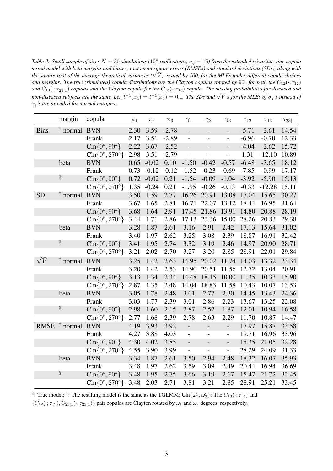Table 3: Small sample of sizes  $N=30$  simulations ( $10^4$  replications,  $n_q=15$ ) from the extended trivariate vine copula *mixed model with beta margins and biases, root mean square errors (RMSEs) and standard deviations (SDs), along with the square with beta margins ana biases, root mean square errors (KMSES) ana standara deviations (SDs), along with*<br>the square root of the average theoretical variances (√ $\overline{V}$ ), scaled by 100, for the MLEs under diff and margins. The true (simulated) copula distributions are the Clayton copulas rotated by  $90^{\circ}$  for both the  $C_{12}(\cdot;\tau_{12})$ *and*  $C_{13}$ ( $\cdot$ ;  $\tau_{23|1}$ ) *copulas and the* Clayton *copula for the*  $C_{13}$ ( $\cdot$ ;  $\tau_{13}$ ) *copula. The missing probabilities for diseased and*  $n_0$   $\overline{C_{13}}(\cdot, \tau_{23|1})$  copies and the Calylon copied for the  $C_{13}(\cdot, \tau_{13})$  copied. The missing probabilities for diseased and  $n_0$  and  $\sqrt{\overline{V}}$  *s* for the MLEs of  $\sigma_j$ 's instead of γ<sup>j</sup> *'s are provided for normal margins.*

|                  | margin           | copula                               | $\pi_1$ | $\pi_2$ | $\pi_3$ | $\gamma_1$               | $\gamma_2$               | $\gamma_3$               | $\tau_{12}$ | $\tau_{13}$ | $\tau_{23 1}$ |
|------------------|------------------|--------------------------------------|---------|---------|---------|--------------------------|--------------------------|--------------------------|-------------|-------------|---------------|
| <b>Bias</b>      | $\dagger$ normal | <b>BVN</b>                           | 2.30    | 3.59    | $-2.78$ | $\overline{\phantom{0}}$ | $\overline{\phantom{a}}$ | $\overline{\phantom{a}}$ | $-5.71$     | $-2.61$     | 14.54         |
|                  |                  | Frank                                | 2.17    | 3.51    | $-2.89$ | $\overline{a}$           | $\overline{a}$           | $\overline{\phantom{0}}$ | $-6.96$     | $-0.70$     | 12.33         |
|                  |                  | $\text{Cln} \{0^\circ, 90^\circ\}$   | 2.22    | 3.67    | $-2.52$ | $\overline{a}$           | $\overline{a}$           | $\overline{a}$           | $-4.04$     | $-2.62$     | 15.72         |
|                  |                  | $\text{Cln} \{0^\circ, 270^\circ\}$  | 2.98    | 3.51    | $-2.79$ | $\overline{a}$           | $\overline{a}$           | $\overline{a}$           | 1.31        | $-12.10$    | 10.89         |
|                  | beta             | <b>BVN</b>                           | 0.65    | $-0.02$ | 0.10    | $-1.50$                  | $-0.42$                  | $-0.57$                  | $-6.48$     | $-3.65$     | 18.12         |
|                  |                  | Frank                                | 0.73    | $-0.12$ | $-0.12$ | $-1.52$                  | $-0.23$                  | $-0.69$                  | $-7.85$     | $-0.99$     | 17.17         |
|                  | ş                | $\text{Cln} \{0^\circ, 90^\circ\}$   | 0.72    | $-0.02$ | 0.21    | $-1.54$                  | $-0.09$                  | $-1.04$                  | $-3.92$     | $-5.90$     | 15.13         |
|                  |                  | $\text{Cln} \{0^\circ, 270^\circ\}$  | 1.35    | $-0.24$ | 0.21    | $-1.95$                  | $-0.26$                  | $-0.13$                  | $-0.33$     | $-12.28$    | 15.11         |
| <b>SD</b>        | $\dagger$ normal | <b>BVN</b>                           | 3.50    | 1.59    | 2.77    | 16.26                    | 20.91                    | 13.08                    | 17.04       | 15.65       | 30.27         |
|                  |                  | Frank                                | 3.67    | 1.65    | 2.81    | 16.71                    | 22.07                    | 13.12                    | 18.44       | 16.95       | 31.64         |
|                  |                  | $\text{Cln} \{0^\circ, 90^\circ\}$   | 3.68    | 1.64    | 2.91    | 17.45                    | 21.86                    | 13.91                    | 14.80       | 20.88       | 28.19         |
|                  |                  | $\text{Cln} \{0^\circ, 270^\circ\}$  | 3.44    | 1.71    | 2.86    | 17.13                    | 23.36                    | 15.00                    | 28.26       | 20.83       | 29.38         |
|                  | beta             | <b>BVN</b>                           | 3.28    | 1.87    | 2.61    | 3.16                     | 2.91                     | 2.42                     | 17.13       | 15.64       | 31.02         |
|                  |                  | Frank                                | 3.40    | 1.97    | 2.62    | 3.25                     | 3.08                     | 2.39                     | 18.87       | 16.91       | 32.42         |
|                  | ş                | $\text{Cln} \{0^\circ, 90^\circ\}$   | 3.41    | 1.95    | 2.74    | 3.32                     | 3.19                     | 2.46                     | 14.97       | 20.90       | 28.71         |
|                  |                  | $\text{Cln}\{0^\circ, 270^\circ\}$   | 3.21    | 2.02    | 2.70    | 3.27                     | 3.20                     | 2.85                     | 28.91       | 22.01       | 29.84         |
| $\sqrt{\bar{V}}$ | $\dagger$ normal | <b>BVN</b>                           | 3.25    | 1.42    | 2.63    | 14.95                    | 20.02                    | 11.74                    | 14.03       | 13.32       | 23.34         |
|                  |                  | Frank                                | 3.20    | 1.42    | 2.53    | 14.90                    | 20.51                    | 11.56                    | 12.72       | 13.04       | 20.91         |
|                  |                  | $\text{Cln} \{0^\circ, 90^\circ\}$   | 3.13    | 1.34    | 2.34    | 14.48                    | 18.15                    | 10.00                    | 11.35       | 10.33       | 15.90         |
|                  |                  | $\text{Cln} \{0^\circ, 270^\circ \}$ | 2.87    | 1.35    | 2.48    | 14.04                    | 18.83                    | 11.58                    | 10.43       | 10.07       | 13.53         |
|                  | beta             | <b>BVN</b>                           | 3.05    | 1.78    | 2.48    | 3.01                     | 2.77                     | 2.30                     | 14.45       | 13.43       | 24.36         |
|                  |                  | Frank                                | 3.03    | 1.77    | 2.39    | 3.01                     | 2.86                     | 2.23                     | 13.67       | 13.25       | 22.08         |
|                  | ş                | $\text{Cln} \{0^\circ, 90^\circ\}$   | 2.98    | 1.60    | 2.15    | 2.87                     | 2.52                     | 1.87                     | 12.01       | 10.94       | 16.58         |
|                  |                  | $\text{Cln} \{0^\circ, 270^\circ\}$  | 2.77    | 1.68    | 2.39    | 2.78                     | 2.63                     | 2.29                     | 11.70       | 10.87       | 14.47         |
| <b>RMSE</b>      | $\dagger$ normal | <b>BVN</b>                           | 4.19    | 3.93    | 3.92    |                          | $\overline{a}$           | $\blacksquare$           | 17.97       | 15.87       | 33.58         |
|                  |                  | Frank                                | 4.27    | 3.88    | 4.03    | $\overline{\phantom{0}}$ | $\overline{\phantom{0}}$ | $\blacksquare$           | 19.71       | 16.96       | 33.96         |
|                  |                  | $\text{Cln} \{0^\circ, 90^\circ\}$   | 4.30    | 4.02    | 3.85    | $\overline{\phantom{0}}$ |                          | $\overline{\phantom{0}}$ | 15.35       | 21.05       | 32.28         |
|                  |                  | $\text{Cln}\{0^\circ, 270^\circ\}$   | 4.55    | 3.90    | 3.99    | $\overline{a}$           | $\overline{a}$           | $\overline{a}$           | 28.29       | 24.09       | 31.33         |
|                  | beta             | <b>BVN</b>                           | 3.34    | 1.87    | 2.61    | 3.50                     | 2.94                     | 2.48                     | 18.32       | 16.07       | 35.93         |
|                  |                  | Frank                                | 3.48    | 1.97    | 2.62    | 3.59                     | 3.09                     | 2.49                     | 20.44       | 16.94       | 36.69         |
|                  | ş                | $\text{Cln} \{0^\circ, 90^\circ\}$   | 3.48    | 1.95    | 2.75    | 3.66                     | 3.19                     | 2.67                     | 15.47       | 21.72       | 32.45         |
|                  |                  | $\text{Cln} \{0^\circ, 270^\circ\}$  | 3.48    | 2.03    | 2.71    | 3.81                     | 3.21                     | 2.85                     | 28.91       | 25.21       | 33.45         |

 ${C_{12}(\cdot; \tau_{12}), C_{23|1}(\cdot; \tau_{23|1})}$  pair copulas are Clayton rotated by  $\omega_1$  and  $\omega_2$  degrees, respectively.